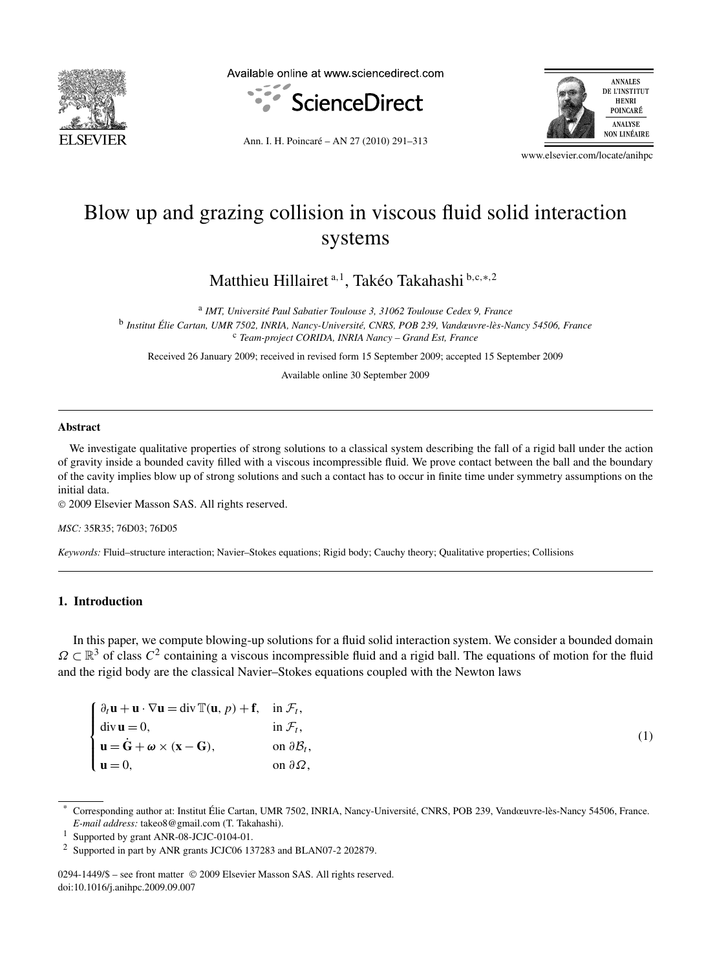

Available online at www.sciencedirect.com



ANNALES DE L'INSTITUT **HENRI** POINCARÉ **ANALYSE NON LINÉAIRE** 

Ann. I. H. Poincaré – AN 27 (2010) 291–313

www.elsevier.com/locate/anihpc

# Blow up and grazing collision in viscous fluid solid interaction systems

Matthieu Hillairet <sup>a</sup>*,*<sup>1</sup> , Takéo Takahashi <sup>b</sup>*,*c*,*∗*,*<sup>2</sup>

<sup>a</sup> *IMT, Université Paul Sabatier Toulouse 3, 31062 Toulouse Cedex 9, France* <sup>b</sup> *Institut Élie Cartan, UMR 7502, INRIA, Nancy-Université, CNRS, POB 239, Vandœuvre-lès-Nancy 54506, France* <sup>c</sup> *Team-project CORIDA, INRIA Nancy – Grand Est, France*

Received 26 January 2009; received in revised form 15 September 2009; accepted 15 September 2009

Available online 30 September 2009

## **Abstract**

We investigate qualitative properties of strong solutions to a classical system describing the fall of a rigid ball under the action of gravity inside a bounded cavity filled with a viscous incompressible fluid. We prove contact between the ball and the boundary of the cavity implies blow up of strong solutions and such a contact has to occur in finite time under symmetry assumptions on the initial data.

© 2009 Elsevier Masson SAS. All rights reserved.

*MSC:* 35R35; 76D03; 76D05

*Keywords:* Fluid–structure interaction; Navier–Stokes equations; Rigid body; Cauchy theory; Qualitative properties; Collisions

# **1. Introduction**

In this paper, we compute blowing-up solutions for a fluid solid interaction system. We consider a bounded domain  $\Omega \subset \mathbb{R}^3$  of class  $C^2$  containing a viscous incompressible fluid and a rigid ball. The equations of motion for the fluid and the rigid body are the classical Navier–Stokes equations coupled with the Newton laws

| $\int \partial_t \mathbf{u} + \mathbf{u} \cdot \nabla \mathbf{u} = \text{div } \mathbb{T}(\mathbf{u}, p) + \mathbf{f}, \quad \text{in } \mathcal{F}_t,$ |                               |
|---------------------------------------------------------------------------------------------------------------------------------------------------------|-------------------------------|
|                                                                                                                                                         | in $\mathcal{F}_t$ ,          |
| div <b>u</b> = 0,<br><b>u</b> = $\dot{G}$ + $\omega$ × ( <b>x</b> - <b>G</b> ),                                                                         | on $\partial \mathcal{B}_t$ , |
| $\mathbf{u} = 0$ ,                                                                                                                                      | on $\partial\Omega$ ,         |

(1)

<sup>\*</sup> Corresponding author at: Institut Élie Cartan, UMR 7502, INRIA, Nancy-Université, CNRS, POB 239, Vandœuvre-lès-Nancy 54506, France. *E-mail address:* takeo8@gmail.com (T. Takahashi).

<sup>1</sup> Supported by grant ANR-08-JCJC-0104-01.

<sup>2</sup> Supported in part by ANR grants JCJC06 137283 and BLAN07-2 202879.

<sup>0294-1449/\$ –</sup> see front matter © 2009 Elsevier Masson SAS. All rights reserved. doi:10.1016/j.anihpc.2009.09.007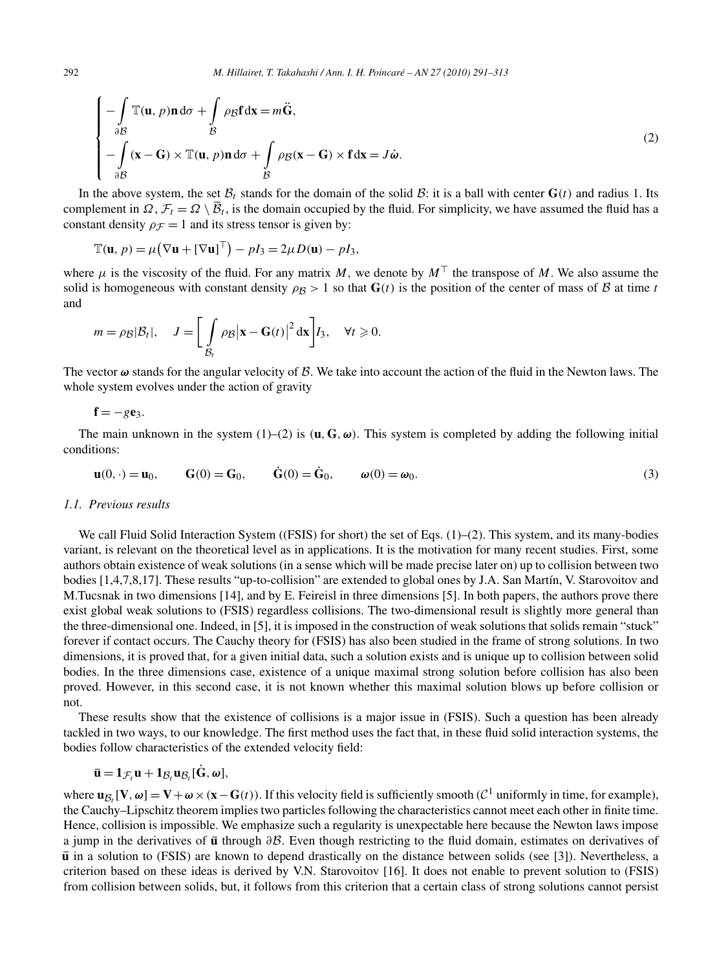$$
\begin{cases}\n-\int_{\partial B} \mathbb{T}(\mathbf{u}, p) \mathbf{n} d\sigma + \int_{\mathcal{B}} \rho_{\mathcal{B}} \mathbf{f} d\mathbf{x} = m\ddot{\mathbf{G}}, \\
-\int_{\partial B} (\mathbf{x} - \mathbf{G}) \times \mathbb{T}(\mathbf{u}, p) \mathbf{n} d\sigma + \int_{\mathcal{B}} \rho_{\mathcal{B}} (\mathbf{x} - \mathbf{G}) \times \mathbf{f} d\mathbf{x} = J\dot{\boldsymbol{\omega}}.\n\end{cases}
$$
\n(2)

In the above system, the set  $\mathcal{B}_t$  stands for the domain of the solid  $\mathcal{B}_t$ : it is a ball with center  $\mathbf{G}(t)$  and radius 1. Its complement in  $\Omega$ ,  $\mathcal{F}_t = \Omega \setminus \overline{\mathcal{B}}_t$ , is the domain occupied by the fluid. For simplicity, we have assumed the fluid has a constant density  $\rho$ <sub>F</sub> = 1 and its stress tensor is given by:

$$
\mathbb{T}(\mathbf{u}, p) = \mu \big( \nabla \mathbf{u} + [\nabla \mathbf{u}]^\top \big) - pI_3 = 2\mu D(\mathbf{u}) - pI_3,
$$

where  $\mu$  is the viscosity of the fluid. For any matrix *M*, we denote by  $M<sup>T</sup>$  the transpose of *M*. We also assume the solid is homogeneous with constant density  $\rho_B > 1$  so that  $\mathbf{G}(t)$  is the position of the center of mass of B at time t and

$$
m = \rho_{\mathcal{B}}|\mathcal{B}_t|, \quad J = \left[\int_{\mathcal{B}_t} \rho_{\mathcal{B}} \left| \mathbf{x} - \mathbf{G}(t) \right|^2 \mathrm{d}\mathbf{x} \right] I_3, \quad \forall t \geq 0.
$$

The vector *ω* stands for the angular velocity of B*.* We take into account the action of the fluid in the Newton laws. The whole system evolves under the action of gravity

$$
\mathbf{f}=-g\mathbf{e}_3.
$$

The main unknown in the system (1)–(2) is  $(\mathbf{u}, \mathbf{G}, \omega)$ . This system is completed by adding the following initial conditions:

$$
\mathbf{u}(0,\cdot) = \mathbf{u}_0, \qquad \mathbf{G}(0) = \mathbf{G}_0, \qquad \dot{\mathbf{G}}(0) = \dot{\mathbf{G}}_0, \qquad \boldsymbol{\omega}(0) = \boldsymbol{\omega}_0.
$$
 (3)

## *1.1. Previous results*

We call Fluid Solid Interaction System ((FSIS) for short) the set of Eqs. (1)–(2). This system, and its many-bodies variant, is relevant on the theoretical level as in applications. It is the motivation for many recent studies. First, some authors obtain existence of weak solutions (in a sense which will be made precise later on) up to collision between two bodies [1,4,7,8,17]. These results "up-to-collision" are extended to global ones by J.A. San Martín, V. Starovoitov and M.Tucsnak in two dimensions [14], and by E. Feireisl in three dimensions [5]. In both papers, the authors prove there exist global weak solutions to (FSIS) regardless collisions. The two-dimensional result is slightly more general than the three-dimensional one. Indeed, in [5], it is imposed in the construction of weak solutions that solids remain "stuck" forever if contact occurs. The Cauchy theory for (FSIS) has also been studied in the frame of strong solutions. In two dimensions, it is proved that, for a given initial data, such a solution exists and is unique up to collision between solid bodies. In the three dimensions case, existence of a unique maximal strong solution before collision has also been proved. However, in this second case, it is not known whether this maximal solution blows up before collision or not.

These results show that the existence of collisions is a major issue in (FSIS). Such a question has been already tackled in two ways, to our knowledge. The first method uses the fact that, in these fluid solid interaction systems, the bodies follow characteristics of the extended velocity field:

$$
\overline{\mathbf{u}} = \mathbf{1}_{\mathcal{F}_t} \mathbf{u} + \mathbf{1}_{\mathcal{B}_t} \mathbf{u}_{\mathcal{B}_t} [\dot{\mathbf{G}}, \omega],
$$

where  $\mathbf{u}_{\mathcal{B}_i}[\mathbf{V}, \omega] = \mathbf{V} + \omega \times (\mathbf{x} - \mathbf{G}(t))$ . If this velocity field is sufficiently smooth ( $\mathcal{C}^1$  uniformly in time, for example), the Cauchy–Lipschitz theorem implies two particles following the characteristics cannot meet each other in finite time. Hence, collision is impossible. We emphasize such a regularity is unexpectable here because the Newton laws impose a jump in the derivatives of **u** through *∂*B*.* Even though restricting to the fluid domain, estimates on derivatives of **u** in a solution to (FSIS) are known to depend drastically on the distance between solids (see [3]). Nevertheless, a criterion based on these ideas is derived by V.N. Starovoitov [16]. It does not enable to prevent solution to (FSIS) from collision between solids, but, it follows from this criterion that a certain class of strong solutions cannot persist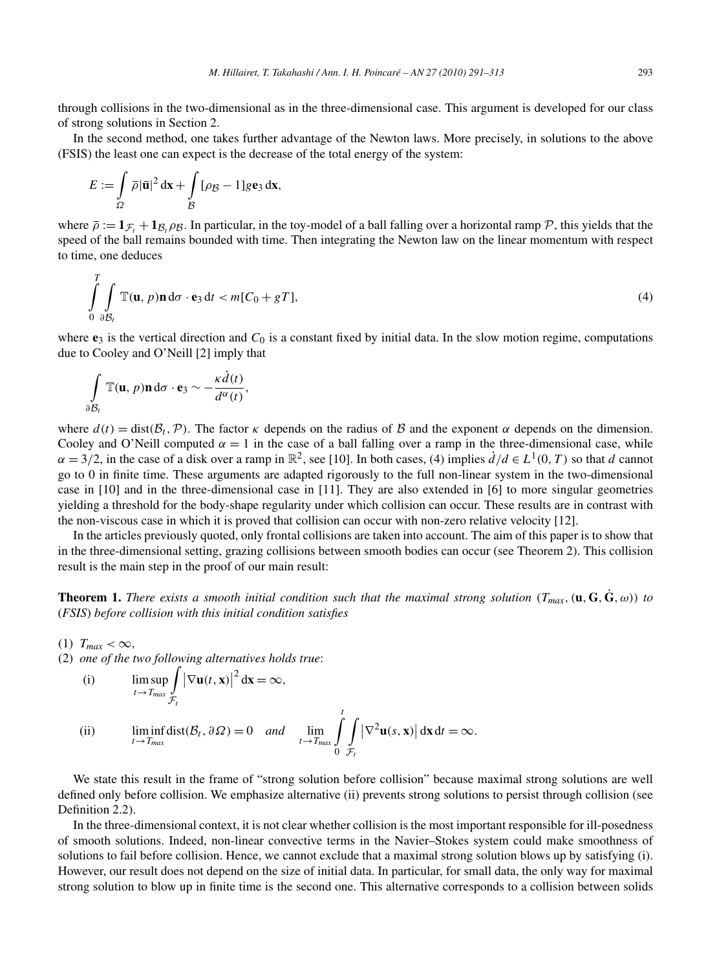through collisions in the two-dimensional as in the three-dimensional case. This argument is developed for our class of strong solutions in Section 2.

In the second method, one takes further advantage of the Newton laws. More precisely, in solutions to the above (FSIS) the least one can expect is the decrease of the total energy of the system:

$$
E := \int_{\Omega} \overline{\rho} |\overline{\mathbf{u}}|^2 \, \mathrm{d}\mathbf{x} + \int_{\mathcal{B}} [\rho \mathbf{g} - 1] g \mathbf{e}_3 \, \mathrm{d}\mathbf{x},
$$

where  $\bar{\rho} := \mathbf{1}_{\mathcal{F}} + \mathbf{1}_{\mathcal{B}}$ ,  $\rho_{\mathcal{B}}$ . In particular, in the toy-model of a ball falling over a horizontal ramp  $\mathcal{P}$ , this yields that the speed of the ball remains bounded with time. Then integrating the Newton law on the linear momentum with respect to time, one deduces

$$
\int_{0}^{T} \int_{\partial B_t} \mathbb{T}(\mathbf{u}, p) \mathbf{n} d\sigma \cdot \mathbf{e}_3 dt < m[C_0 + gT],
$$
\n(4)

where  $\mathbf{e}_3$  is the vertical direction and  $C_0$  is a constant fixed by initial data. In the slow motion regime, computations due to Cooley and O'Neill [2] imply that

$$
\int\limits_{\partial \mathcal{B}_t} \mathbb{T}(\mathbf{u}, p)\mathbf{n} d\sigma \cdot \mathbf{e}_3 \sim -\frac{\kappa \dot{d}(t)}{d^{\alpha}(t)},
$$

where  $d(t) = \text{dist}(\mathcal{B}_t, \mathcal{P})$ . The factor *κ* depends on the radius of B and the exponent *α* depends on the dimension. Cooley and O'Neill computed  $\alpha = 1$  in the case of a ball falling over a ramp in the three-dimensional case, while  $\alpha = 3/2$ , in the case of a disk over a ramp in  $\mathbb{R}^2$ , see [10]. In both cases, (4) implies  $\dot{d}/d \in L^1(0, T)$  so that *d* cannot go to 0 in finite time. These arguments are adapted rigorously to the full non-linear system in the two-dimensional case in [10] and in the three-dimensional case in [11]. They are also extended in [6] to more singular geometries yielding a threshold for the body-shape regularity under which collision can occur. These results are in contrast with the non-viscous case in which it is proved that collision can occur with non-zero relative velocity [12].

In the articles previously quoted, only frontal collisions are taken into account. The aim of this paper is to show that in the three-dimensional setting, grazing collisions between smooth bodies can occur (see Theorem 2). This collision result is the main step in the proof of our main result:

**Theorem 1.** *There exists a smooth initial condition such that the maximal strong solution*  $(T_{max}, (\mathbf{u}, \mathbf{G}, \dot{\mathbf{G}}, \omega))$  to (*FSIS*) *before collision with this initial condition satisfies*

 $(1)$   $T_{max} < \infty$ ,

(2) *one of the two following alternatives holds true*:

(i) 
$$
\limsup_{t \to T_{max}} \int_{\mathcal{F}_t} |\nabla \mathbf{u}(t, \mathbf{x})|^2 d\mathbf{x} = \infty,
$$

(ii) 
$$
\liminf_{t\to T_{max}} dist(\mathcal{B}_t, \partial \Omega) = 0 \quad and \quad \lim_{t\to T_{max}} \int_{0}^{t} \int_{\mathcal{F}_t} |\nabla^2 \mathbf{u}(s, \mathbf{x})| \, \mathrm{d}\mathbf{x} \, \mathrm{d}t = \infty.
$$

We state this result in the frame of "strong solution before collision" because maximal strong solutions are well defined only before collision. We emphasize alternative (ii) prevents strong solutions to persist through collision (see Definition 2.2).

In the three-dimensional context, it is not clear whether collision is the most important responsible for ill-posedness of smooth solutions. Indeed, non-linear convective terms in the Navier–Stokes system could make smoothness of solutions to fail before collision. Hence, we cannot exclude that a maximal strong solution blows up by satisfying (i). However, our result does not depend on the size of initial data. In particular, for small data, the only way for maximal strong solution to blow up in finite time is the second one. This alternative corresponds to a collision between solids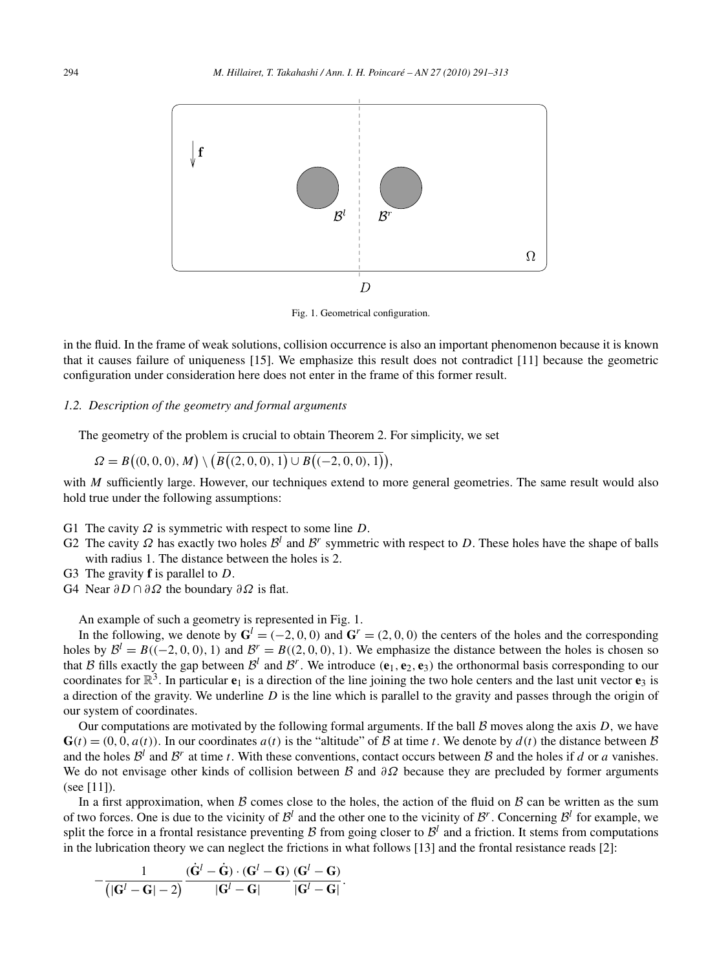

Fig. 1. Geometrical configuration.

in the fluid. In the frame of weak solutions, collision occurrence is also an important phenomenon because it is known that it causes failure of uniqueness [15]. We emphasize this result does not contradict [11] because the geometric configuration under consideration here does not enter in the frame of this former result.

# *1.2. Description of the geometry and formal arguments*

The geometry of the problem is crucial to obtain Theorem 2. For simplicity, we set

$$
\Omega = B\big((0,0,0),M\big) \setminus \big(B\big((2,0,0),1\big) \cup B\big((-2,0,0),1\big)\big),
$$

with *M* sufficiently large. However, our techniques extend to more general geometries. The same result would also hold true under the following assumptions:

- G1 The cavity *Ω* is symmetric with respect to some line *D*.
- G2 The cavity  $\Omega$  has exactly two holes  $\mathcal{B}^l$  and  $\mathcal{B}^r$  symmetric with respect to D. These holes have the shape of balls with radius 1*.* The distance between the holes is 2*.*
- G3 The gravity **f** is parallel to *D*.
- G4 Near *∂D* ∩ *∂Ω* the boundary *∂Ω* is flat.

An example of such a geometry is represented in Fig. 1.

In the following, we denote by  $G^l = (-2, 0, 0)$  and  $G^r = (2, 0, 0)$  the centers of the holes and the corresponding holes by  $B^l = B((-2, 0, 0), 1)$  and  $B^r = B((2, 0, 0), 1)$ . We emphasize the distance between the holes is chosen so that B fills exactly the gap between  $\mathcal{B}^l$  and  $\mathcal{B}^r$ . We introduce  $(\mathbf{e}_1, \mathbf{e}_2, \mathbf{e}_3)$  the orthonormal basis corresponding to our coordinates for  $\mathbb{R}^3$ . In particular  $\mathbf{e}_1$  is a direction of the line joining the two hole centers and the last unit vector  $\mathbf{e}_3$  is a direction of the gravity. We underline *D* is the line which is parallel to the gravity and passes through the origin of our system of coordinates.

Our computations are motivated by the following formal arguments. If the ball  $\beta$  moves along the axis  $D$ , we have  $G(t) = (0, 0, a(t))$ . In our coordinates  $a(t)$  is the "altitude" of B at time *t*. We denote by  $d(t)$  the distance between B and the holes  $\mathcal{B}^l$  and  $\mathcal{B}^r$  at time *t*. With these conventions, contact occurs between  $\mathcal B$  and the holes if *d* or *a* vanishes. We do not envisage other kinds of collision between B and *∂Ω* because they are precluded by former arguments (see [11]).

In a first approximation, when  $\beta$  comes close to the holes, the action of the fluid on  $\beta$  can be written as the sum of two forces. One is due to the vicinity of  $\mathcal{B}^l$  and the other one to the vicinity of  $\mathcal{B}^r$ . Concerning  $\mathcal{B}^l$  for example, we split the force in a frontal resistance preventing B from going closer to  $\mathcal{B}^l$  and a friction. It stems from computations in the lubrication theory we can neglect the frictions in what follows [13] and the frontal resistance reads [2]:

$$
-\frac{1}{\left(|\mathbf{G}^l-\mathbf{G}|-2\right)}\frac{\left(\dot{\mathbf{G}}^l-\dot{\mathbf{G}}\right)\cdot\left(\mathbf{G}^l-\mathbf{G}\right)}{\left|\mathbf{G}^l-\mathbf{G}\right|}\frac{\left(\mathbf{G}^l-\mathbf{G}\right)}{\left|\mathbf{G}^l-\mathbf{G}\right|}.
$$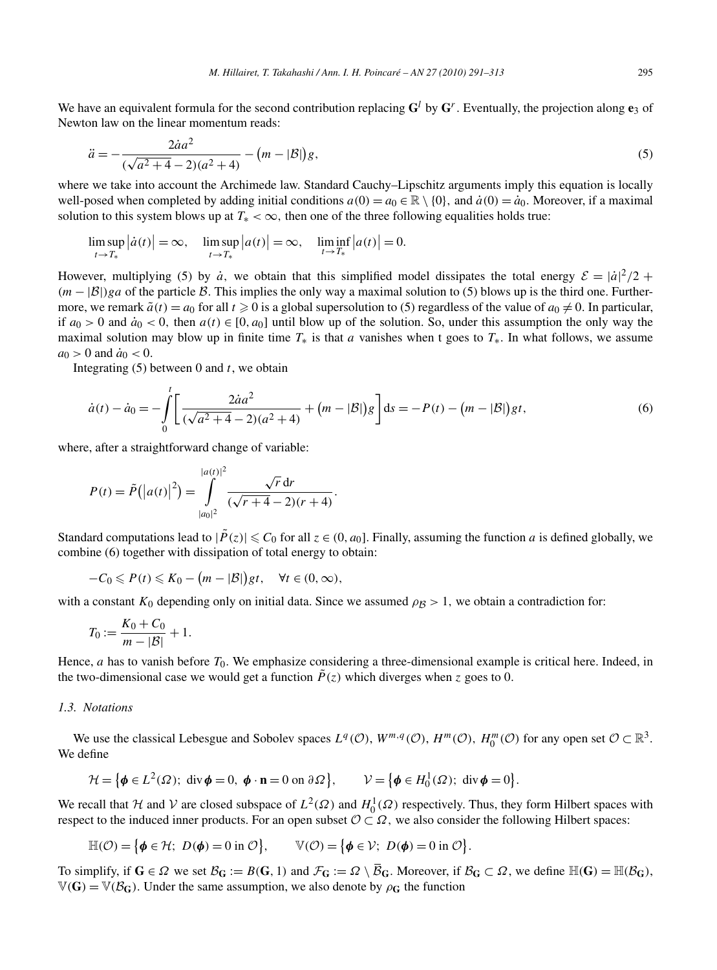We have an equivalent formula for the second contribution replacing  $G^l$  by  $G^r$ . Eventually, the projection along  $e_3$  of Newton law on the linear momentum reads:

$$
\ddot{a} = -\frac{2\dot{a}a^2}{(\sqrt{a^2 + 4} - 2)(a^2 + 4)} - (m - |\mathcal{B}|)g,\tag{5}
$$

where we take into account the Archimede law. Standard Cauchy–Lipschitz arguments imply this equation is locally well-posed when completed by adding initial conditions  $a(0) = a_0 \in \mathbb{R} \setminus \{0\}$ , and  $\dot{a}(0) = \dot{a}_0$ . Moreover, if a maximal solution to this system blows up at  $T_* < \infty$ , then one of the three following equalities holds true:

$$
\limsup_{t \to T_*} |\dot{a}(t)| = \infty, \quad \limsup_{t \to T_*} |a(t)| = \infty, \quad \liminf_{t \to T_*} |a(t)| = 0.
$$

However, multiplying (5) by  $\dot{a}$ , we obtain that this simplified model dissipates the total energy  $\mathcal{E} = |\dot{a}|^2/2 +$ *(m* − |B|)*ga* of the particle B. This implies the only way a maximal solution to (5) blows up is the third one. Furthermore, we remark  $\tilde{a}(t) = a_0$  for all  $t \ge 0$  is a global supersolution to (5) regardless of the value of  $a_0 \ne 0$ . In particular, if  $a_0 > 0$  and  $\dot{a}_0 < 0$ , then  $a(t) \in [0, a_0]$  until blow up of the solution. So, under this assumption the only way the maximal solution may blow up in finite time *T*∗ is that *a* vanishes when t goes to *T*∗*.* In what follows, we assume  $a_0 > 0$  and  $\dot{a}_0 < 0$ .

Integrating (5) between 0 and *t*, we obtain

$$
\dot{a}(t) - \dot{a}_0 = -\int_0^t \left[ \frac{2\dot{a}a^2}{(\sqrt{a^2 + 4} - 2)(a^2 + 4)} + (m - |\mathcal{B}|)g \right] ds = -P(t) - (m - |\mathcal{B}|)gt,
$$
\n(6)

where, after a straightforward change of variable:

$$
P(t) = \tilde{P}(|a(t)|^2) = \int_{|a_0|^2}^{|a(t)|^2} \frac{\sqrt{r} dr}{(\sqrt{r+4} - 2)(r+4)}.
$$

Standard computations lead to  $|\tilde{P}(z)| \leq C_0$  for all  $z \in (0, a_0]$ . Finally, assuming the function *a* is defined globally, we combine (6) together with dissipation of total energy to obtain:

$$
-C_0 \leqslant P(t) \leqslant K_0 - \big(m - |\mathcal{B}|\big)gt, \quad \forall t \in (0, \infty),
$$

with a constant  $K_0$  depending only on initial data. Since we assumed  $\rho_B > 1$ , we obtain a contradiction for:

$$
T_0 := \frac{K_0 + C_0}{m - |\mathcal{B}|} + 1.
$$

Hence, *a* has to vanish before  $T_0$ . We emphasize considering a three-dimensional example is critical here. Indeed, in the two-dimensional case we would get a function  $\tilde{P}(z)$  which diverges when *z* goes to 0.

#### *1.3. Notations*

We use the classical Lebesgue and Sobolev spaces  $L^q(\mathcal{O}), W^{m,q}(\mathcal{O}), H^m(\mathcal{O}), H_0^m(\mathcal{O})$  for any open set  $\mathcal{O} \subset \mathbb{R}^3$ . We define

$$
\mathcal{H} = \{ \phi \in L^{2}(\Omega) ; \text{ div } \phi = 0, \phi \cdot \mathbf{n} = 0 \text{ on } \partial \Omega \}, \qquad \mathcal{V} = \{ \phi \in H_{0}^{1}(\Omega) ; \text{ div } \phi = 0 \}.
$$

We recall that H and V are closed subspace of  $L^2(\Omega)$  and  $H_0^1(\Omega)$  respectively. Thus, they form Hilbert spaces with respect to the induced inner products. For an open subset  $\mathcal{O} \subset \Omega$ , we also consider the following Hilbert spaces:

$$
\mathbb{H}(\mathcal{O}) = \big\{ \phi \in \mathcal{H}; \ D(\phi) = 0 \text{ in } \mathcal{O} \big\}, \qquad \mathbb{V}(\mathcal{O}) = \big\{ \phi \in \mathcal{V}; \ D(\phi) = 0 \text{ in } \mathcal{O} \big\}.
$$

To simplify, if  $G \in \Omega$  we set  $\mathcal{B}_G := B(G, 1)$  and  $\mathcal{F}_G := \Omega \setminus \overline{\mathcal{B}}_G$ . Moreover, if  $\mathcal{B}_G \subset \Omega$ , we define  $\mathbb{H}(G) = \mathbb{H}(\mathcal{B}_G)$ ,  $\mathbb{V}(\mathbf{G}) = \mathbb{V}(\mathcal{B}_{\mathbf{G}})$ . Under the same assumption, we also denote by  $\rho_{\mathbf{G}}$  the function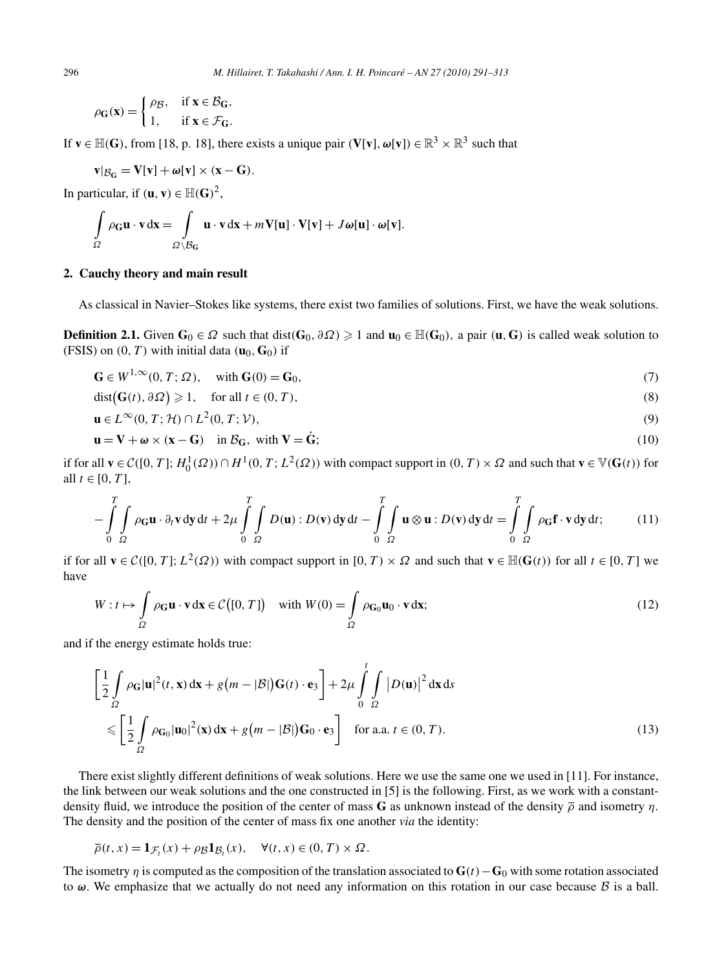$$
\rho_{\mathbf{G}}(\mathbf{x}) = \begin{cases} \rho_{\mathcal{B}}, & \text{if } \mathbf{x} \in \mathcal{B}_{\mathbf{G}}, \\ 1, & \text{if } \mathbf{x} \in \mathcal{F}_{\mathbf{G}}. \end{cases}
$$

If  $\mathbf{v} \in \mathbb{H}(\mathbf{G})$ , from [18, p. 18], there exists a unique pair  $(\mathbf{V}[\mathbf{v}], \boldsymbol{\omega}[\mathbf{v}]) \in \mathbb{R}^3 \times \mathbb{R}^3$  such that

$$
v|_{\mathcal B_G}=V[v]+\omega[v]\times (x-G).
$$

In particular, if  $(\mathbf{u}, \mathbf{v}) \in \mathbb{H}(\mathbf{G})^2$ ,

$$
\int_{\Omega} \rho_{\mathbf{G}} \mathbf{u} \cdot \mathbf{v} \, d\mathbf{x} = \int_{\Omega \setminus \mathcal{B}_{\mathbf{G}}} \mathbf{u} \cdot \mathbf{v} \, d\mathbf{x} + m \mathbf{V}[\mathbf{u}] \cdot \mathbf{V}[\mathbf{v}] + J \boldsymbol{\omega}[\mathbf{u}] \cdot \boldsymbol{\omega}[\mathbf{v}].
$$

# **2. Cauchy theory and main result**

As classical in Navier–Stokes like systems, there exist two families of solutions. First, we have the weak solutions.

**Definition 2.1.** Given **G**<sub>0</sub> ∈  $\Omega$  such that dist(**G**<sub>0</sub>*,* ∂ $\Omega$ ) ≥ 1 and **u**<sub>0</sub> ∈  $\mathbb{H}$ (**G**<sub>0</sub>), a pair (**u**, **G**) is called weak solution to (FSIS) on  $(0, T)$  with initial data  $(\mathbf{u}_0, \mathbf{G}_0)$  if

$$
\mathbf{G} \in W^{1,\infty}(0,T;\Omega), \quad \text{with } \mathbf{G}(0) = \mathbf{G}_0,\tag{7}
$$

$$
dist(G(t), \partial \Omega) \geq 1, \quad \text{for all } t \in (0, T), \tag{8}
$$

$$
\mathbf{u} \in L^{\infty}(0, T; \mathcal{H}) \cap L^{2}(0, T; \mathcal{V}), \tag{9}
$$

$$
\mathbf{u} = \mathbf{V} + \boldsymbol{\omega} \times (\mathbf{x} - \mathbf{G}) \quad \text{in } \mathcal{B}_{\mathbf{G}}, \text{ with } \mathbf{V} = \dot{\mathbf{G}}; \tag{10}
$$

if for all  $\mathbf{v} \in C([0, T]; H_0^1(\Omega)) \cap H^1(0, T; L^2(\Omega))$  with compact support in  $(0, T) \times \Omega$  and such that  $\mathbf{v} \in \mathbb{V}(\mathbf{G}(t))$  for all *t* ∈ [0, *T*],

$$
-\int_{0}^{T}\int_{\Omega}\rho_{\mathbf{G}}\mathbf{u}\cdot\partial_{t}\mathbf{v}\,d\mathbf{y}\,dt+2\mu\int_{0}^{T}\int_{\Omega}D(\mathbf{u}):D(\mathbf{v})\,d\mathbf{y}\,dt-\int_{0}^{T}\int_{\Omega}\mathbf{u}\otimes\mathbf{u}:D(\mathbf{v})\,d\mathbf{y}\,dt=\int_{0}^{T}\int_{\Omega}\rho_{\mathbf{G}}\mathbf{f}\cdot\mathbf{v}\,d\mathbf{y}\,dt;\qquad(11)
$$

if for all  $\mathbf{v} \in C([0, T]; L^2(\Omega))$  with compact support in  $[0, T) \times \Omega$  and such that  $\mathbf{v} \in \mathbb{H}(\mathbf{G}(t))$  for all  $t \in [0, T]$  we have

$$
W: t \mapsto \int_{\Omega} \rho_{\mathbf{G}} \mathbf{u} \cdot \mathbf{v} \, d\mathbf{x} \in \mathcal{C}([0, T]) \quad \text{with } W(0) = \int_{\Omega} \rho_{\mathbf{G}_0} \mathbf{u}_0 \cdot \mathbf{v} \, d\mathbf{x};
$$
\n
$$
(12)
$$

and if the energy estimate holds true:

$$
\left[\frac{1}{2}\int_{\Omega}\rho_{\mathbf{G}}|\mathbf{u}|^{2}(t,\mathbf{x}) d\mathbf{x} + g(m-|\mathcal{B}|)\mathbf{G}(t) \cdot \mathbf{e}_{3}\right] + 2\mu \int_{0}^{t} \int_{\Omega} |D(\mathbf{u})|^{2} d\mathbf{x} ds
$$
  
\$\leqslant \left[\frac{1}{2}\int\_{\Omega}\rho\_{\mathbf{G}\_{0}}|\mathbf{u}\_{0}|^{2}(\mathbf{x}) d\mathbf{x} + g(m-|\mathcal{B}|)\mathbf{G}\_{0} \cdot \mathbf{e}\_{3}\right] \text{ for a.a. } t \in (0, T). \tag{13}

There exist slightly different definitions of weak solutions. Here we use the same one we used in [11]. For instance, the link between our weak solutions and the one constructed in [5] is the following. First, as we work with a constantdensity fluid, we introduce the position of the center of mass **G** as unknown instead of the density *ρ* and isometry *η.* The density and the position of the center of mass fix one another *via* the identity:

$$
\overline{\rho}(t,x) = \mathbf{1}_{\mathcal{F}_t}(x) + \rho \mathcal{B} \mathbf{1}_{\mathcal{B}_t}(x), \quad \forall (t,x) \in (0,T) \times \Omega.
$$

The isometry *η* is computed as the composition of the translation associated to  $\mathbf{G}(t) - \mathbf{G}_0$  with some rotation associated to *ω*. We emphasize that we actually do not need any information on this rotation in our case because B is a ball.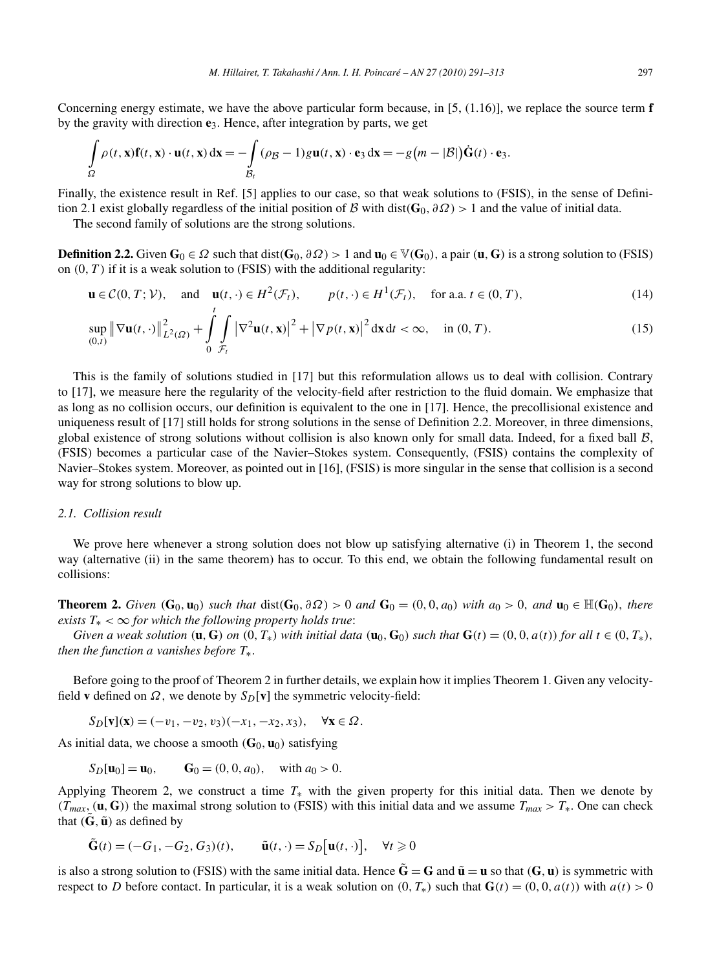$$
\int_{\Omega} \rho(t, \mathbf{x}) \mathbf{f}(t, \mathbf{x}) \cdot \mathbf{u}(t, \mathbf{x}) d\mathbf{x} = -\int_{\mathcal{B}_t} (\rho \mathbf{g} - 1) g \mathbf{u}(t, \mathbf{x}) \cdot \mathbf{e}_3 d\mathbf{x} = -g(m - |\mathcal{B}|) \dot{\mathbf{G}}(t) \cdot \mathbf{e}_3.
$$

Finally, the existence result in Ref. [5] applies to our case, so that weak solutions to (FSIS), in the sense of Definition 2.1 exist globally regardless of the initial position of B with dist $(G_0, \partial \Omega) > 1$  and the value of initial data.

The second family of solutions are the strong solutions.

**Definition 2.2.** Given **G**<sub>0</sub> ∈  $\Omega$  such that dist(**G**<sub>0</sub>*,*  $\partial\Omega$ ) > 1 and **u**<sub>0</sub> ∈ V(**G**<sub>0</sub>), a pair (**u**, **G**) is a strong solution to (FSIS) on *(*0*,T)* if it is a weak solution to (FSIS) with the additional regularity:

$$
\mathbf{u} \in \mathcal{C}(0, T; \mathcal{V}), \quad \text{and} \quad \mathbf{u}(t, \cdot) \in H^2(\mathcal{F}_t), \qquad p(t, \cdot) \in H^1(\mathcal{F}_t), \quad \text{for a.a. } t \in (0, T), \tag{14}
$$

$$
\sup_{(0,t)} \|\nabla \mathbf{u}(t,\cdot)\|_{L^2(\Omega)}^2 + \int_0^t \int_{\mathcal{F}_t} |\nabla^2 \mathbf{u}(t,\mathbf{x})|^2 + |\nabla p(t,\mathbf{x})|^2 \, \mathrm{d}\mathbf{x} \, \mathrm{d}t < \infty, \quad \text{in } (0,T). \tag{15}
$$

This is the family of solutions studied in [17] but this reformulation allows us to deal with collision. Contrary to [17], we measure here the regularity of the velocity-field after restriction to the fluid domain. We emphasize that as long as no collision occurs, our definition is equivalent to the one in [17]. Hence, the precollisional existence and uniqueness result of [17] still holds for strong solutions in the sense of Definition 2.2. Moreover, in three dimensions, global existence of strong solutions without collision is also known only for small data. Indeed, for a fixed ball  $B$ , (FSIS) becomes a particular case of the Navier–Stokes system. Consequently, (FSIS) contains the complexity of Navier–Stokes system. Moreover, as pointed out in [16], (FSIS) is more singular in the sense that collision is a second way for strong solutions to blow up.

## *2.1. Collision result*

We prove here whenever a strong solution does not blow up satisfying alternative (i) in Theorem 1, the second way (alternative (ii) in the same theorem) has to occur. To this end, we obtain the following fundamental result on collisions:

**Theorem 2.** Given  $(G_0, u_0)$  such that  $dist(G_0, \partial \Omega) > 0$  and  $G_0 = (0, 0, a_0)$  with  $a_0 > 0$ , and  $u_0 \in \mathbb{H}(G_0)$ , there *exists*  $T_* < \infty$  *for which the following property holds true:* 

Given a weak solution  $(\mathbf{u}, \mathbf{G})$  on  $(0, T_*)$  with initial data  $(\mathbf{u}_0, \mathbf{G}_0)$  such that  $\mathbf{G}(t) = (0, 0, a(t))$  for all  $t \in (0, T_*)$ , *then the function a vanishes before*  $T_*$ .

Before going to the proof of Theorem 2 in further details, we explain how it implies Theorem 1. Given any velocityfield **v** defined on  $\Omega$ , we denote by  $S_D[\mathbf{v}]$  the symmetric velocity-field:

 $S_D[\mathbf{v}](\mathbf{x}) = (-v_1, -v_2, v_3)(-x_1, -x_2, x_3), \quad \forall \mathbf{x} \in \Omega.$ 

As initial data, we choose a smooth  $(G_0, \mathbf{u}_0)$  satisfying

$$
S_D[\mathbf{u}_0] = \mathbf{u}_0
$$
,  $G_0 = (0, 0, a_0)$ , with  $a_0 > 0$ .

Applying Theorem 2, we construct a time  $T_*$  with the given property for this initial data. Then we denote by  $(T_{max}, (\mathbf{u}, \mathbf{G}))$  the maximal strong solution to (FSIS) with this initial data and we assume  $T_{max} > T_*$ . One can check that  $(\tilde{G}, \tilde{u})$  as defined by

$$
\tilde{\mathbf{G}}(t) = (-G_1, -G_2, G_3)(t), \qquad \tilde{\mathbf{u}}(t, \cdot) = S_D[\mathbf{u}(t, \cdot)], \quad \forall t \ge 0
$$

is also a strong solution to (FSIS) with the same initial data. Hence  $\tilde{G} = G$  and  $\tilde{u} = u$  so that  $(G, u)$  is symmetric with respect to *D* before contact. In particular, it is a weak solution on  $(0, T_*)$  such that  $\mathbf{G}(t) = (0, 0, a(t))$  with  $a(t) > 0$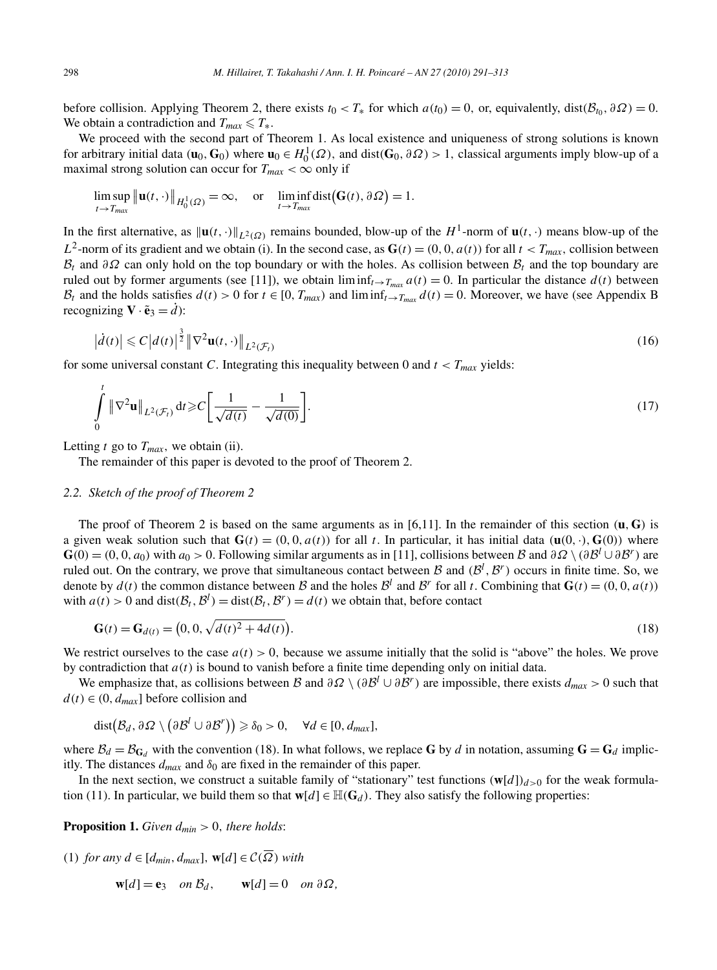before collision. Applying Theorem 2, there exists  $t_0 < T_*$  for which  $a(t_0) = 0$ , or, equivalently, dist $(\mathcal{B}_{t_0}, \partial \Omega) = 0$ . We obtain a contradiction and  $T_{max} \le T_*$ .

We proceed with the second part of Theorem 1. As local existence and uniqueness of strong solutions is known for arbitrary initial data  $(\mathbf{u}_0, \mathbf{G}_0)$  where  $\mathbf{u}_0 \in H_0^1(\Omega)$ , and dist $(\mathbf{G}_0, \partial \Omega) > 1$ , classical arguments imply blow-up of a maximal strong solution can occur for  $T_{max} < \infty$  only if

$$
\limsup_{t \to T_{max}} \|\mathbf{u}(t, \cdot)\|_{H_0^1(\Omega)} = \infty, \quad \text{or} \quad \liminf_{t \to T_{max}} \text{dist}(\mathbf{G}(t), \partial \Omega) = 1.
$$

In the first alternative, as  $\|\mathbf{u}(t,\cdot)\|_{L^2(\Omega)}$  remains bounded, blow-up of the *H*<sup>1</sup>-norm of  $\mathbf{u}(t,\cdot)$  means blow-up of the *L*<sup>2</sup>-norm of its gradient and we obtain (i). In the second case, as  $\mathbf{G}(t) = (0, 0, a(t))$  for all  $t < T_{max}$ , collision between  $B_t$  and  $\partial\Omega$  can only hold on the top boundary or with the holes. As collision between  $B_t$  and the top boundary are ruled out by former arguments (see [11]), we obtain  $\liminf_{t\to T_{max}} a(t) = 0$ . In particular the distance  $d(t)$  between  $B_t$  and the holds satisfies  $d(t) > 0$  for  $t \in [0, T_{max})$  and  $\liminf_{t \to T_{max}} d(t) = 0$ . Moreover, we have (see Appendix B recognizing  $\mathbf{V} \cdot \tilde{\mathbf{e}}_3 = d$ :

$$
\left|\dot{d}(t)\right| \leqslant C\left|d(t)\right|^{\frac{3}{2}} \left\|\nabla^2 \mathbf{u}(t,\cdot)\right\|_{L^2(\mathcal{F}_t)}
$$
\n(16)

for some universal constant *C*. Integrating this inequality between 0 and  $t < T_{max}$  yields:

$$
\int_{0}^{t} \left\| \nabla^{2} \mathbf{u} \right\|_{L^{2}(\mathcal{F}_{t})} \mathrm{d}t \geqslant C \left[ \frac{1}{\sqrt{d(t)}} - \frac{1}{\sqrt{d(0)}} \right]. \tag{17}
$$

Letting  $t$  go to  $T_{max}$ , we obtain (ii).

The remainder of this paper is devoted to the proof of Theorem 2.

#### *2.2. Sketch of the proof of Theorem 2*

The proof of Theorem 2 is based on the same arguments as in [6,11]. In the remainder of this section  $(\mathbf{u}, \mathbf{G})$  is a given weak solution such that  $\mathbf{G}(t) = (0, 0, a(t))$  for all t. In particular, it has initial data  $(\mathbf{u}(0, \cdot), \mathbf{G}(0))$  where  $G(0) = (0, 0, a_0)$  with  $a_0 > 0$ . Following similar arguments as in [11], collisions between B and  $\partial \Omega \setminus (\partial \mathcal{B}^l \cup \partial \mathcal{B}^r)$  are ruled out. On the contrary, we prove that simultaneous contact between  $\mathcal B$  and  $(\mathcal B^l, \mathcal B^r)$  occurs in finite time. So, we denote by  $d(t)$  the common distance between B and the holes  $\mathcal{B}^l$  and  $\mathcal{B}^r$  for all t. Combining that  $\mathbf{G}(t) = (0, 0, a(t))$ with  $a(t) > 0$  and  $dist(\mathcal{B}_t, \mathcal{B}^l) = dist(\mathcal{B}_t, \mathcal{B}^r) = d(t)$  we obtain that, before contact

$$
\mathbf{G}(t) = \mathbf{G}_{d(t)} = (0, 0, \sqrt{d(t)^2 + 4d(t)}). \tag{18}
$$

We restrict ourselves to the case  $a(t) > 0$ , because we assume initially that the solid is "above" the holes. We prove by contradiction that  $a(t)$  is bound to vanish before a finite time depending only on initial data.

We emphasize that, as collisions between B and  $\partial \Omega \setminus (\partial \mathcal{B}^l \cup \partial \mathcal{B}^r)$  are impossible, there exists  $d_{max} > 0$  such that  $d(t) \in (0, d_{max}]$  before collision and

$$
dist(\mathcal{B}_d, \partial \Omega \setminus (\partial \mathcal{B}^l \cup \partial \mathcal{B}^r)) \geq \delta_0 > 0, \quad \forall d \in [0, d_{max}],
$$

where  $B_d = B_{G_d}$  with the convention (18). In what follows, we replace G by *d* in notation, assuming  $G = G_d$  implicitly. The distances  $d_{max}$  and  $\delta_0$  are fixed in the remainder of this paper.

In the next section, we construct a suitable family of "stationary" test functions  $(w[d])_{d>0}$  for the weak formulation (11). In particular, we build them so that  $\mathbf{w}[d] \in \mathbb{H}(\mathbf{G}_d)$ . They also satisfy the following properties:

**Proposition 1.** *Given*  $d_{min} > 0$ *, there holds:* 

(1) *for any d* ∈ [*dmin,dmax*]*,* **w**[*d*] ∈ C*(Ω) with*

$$
\mathbf{w}[d] = \mathbf{e}_3 \quad on \; \mathcal{B}_d, \qquad \mathbf{w}[d] = 0 \quad on \; \partial \Omega,
$$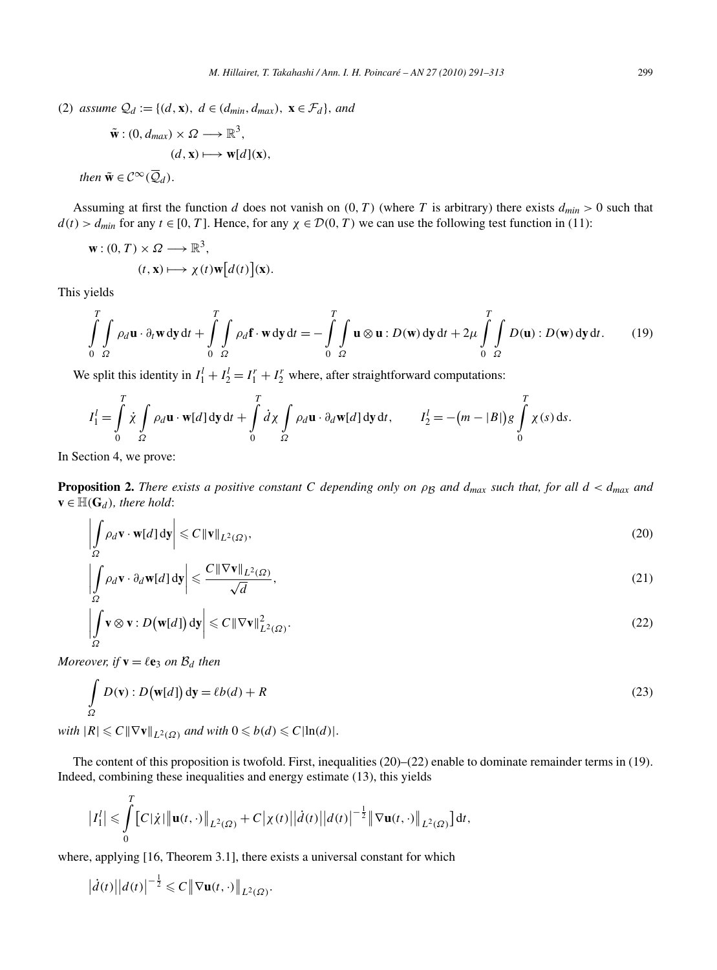(2) *assume*  $Q_d := \{(d, \mathbf{x}), d \in (d_{min}, d_{max}), \mathbf{x} \in \mathcal{F}_d\}$ *, and* 

$$
\tilde{\mathbf{w}}: (0, d_{max}) \times \Omega \longrightarrow \mathbb{R}^3,
$$
  
\n
$$
(d, \mathbf{x}) \longmapsto \mathbf{w}[d](\mathbf{x}),
$$
  
\n
$$
\tilde{\mathbf{w}} \in \mathcal{C}^{\infty}(\overline{Q}_d).
$$

Assuming at first the function *d* does not vanish on  $(0, T)$  (where *T* is arbitrary) there exists  $d_{min} > 0$  such that  $d(t) > d_{min}$  for any  $t \in [0, T]$ . Hence, for any  $\chi \in \mathcal{D}(0, T)$  we can use the following test function in (11):

$$
\mathbf{w}: (0, T) \times \Omega \longrightarrow \mathbb{R}^3,
$$
  
\n
$$
(t, \mathbf{x}) \longmapsto \chi(t) \mathbf{w}[d(t)](\mathbf{x}).
$$

This yields

 $then$ 

$$
\int_{0}^{T} \int_{\Omega} \rho_d \mathbf{u} \cdot \partial_t \mathbf{w} \, \mathrm{d}y \, \mathrm{d}t + \int_{0}^{T} \int_{\Omega} \rho_d \mathbf{f} \cdot \mathbf{w} \, \mathrm{d}y \, \mathrm{d}t = -\int_{0}^{T} \int_{\Omega} \mathbf{u} \otimes \mathbf{u} : D(\mathbf{w}) \, \mathrm{d}y \, \mathrm{d}t + 2\mu \int_{0}^{T} \int_{\Omega} D(\mathbf{u}) : D(\mathbf{w}) \, \mathrm{d}y \, \mathrm{d}t. \tag{19}
$$

We split this identity in  $I_1^l + I_2^l = I_1^r + I_2^r$  where, after straightforward computations:

$$
I_1^l = \int_0^T \dot{\chi} \int_{\Omega} \rho_d \mathbf{u} \cdot \mathbf{w}[d] \, \mathrm{d}y \, \mathrm{d}t + \int_0^T \dot{d}\chi \int_{\Omega} \rho_d \mathbf{u} \cdot \partial_d \mathbf{w}[d] \, \mathrm{d}y \, \mathrm{d}t, \qquad I_2^l = -(m - |B|)g \int_0^T \chi(s) \, \mathrm{d}s.
$$

In Section 4, we prove:

**Proposition 2.** *There exists a positive constant C* depending only on  $\rho_B$  and  $d_{max}$  such that, for all  $d < d_{max}$  and  $\mathbf{v} \in \mathbb{H}(\mathbf{G}_d)$ *, there hold:* 

$$
\left| \int_{\Omega} \rho_d \mathbf{v} \cdot \mathbf{w}[d] \, \mathrm{d}\mathbf{y} \right| \leqslant C \left\| \mathbf{v} \right\|_{L^2(\Omega)},\tag{20}
$$

$$
\left| \int_{\Omega} \rho_d \mathbf{v} \cdot \partial_d \mathbf{w}[d] \, \mathrm{d}\mathbf{y} \right| \leq \frac{C \, \|\nabla \mathbf{v}\|_{L^2(\Omega)}}{\sqrt{d}},\tag{21}
$$

$$
\left| \int_{\Omega} \mathbf{v} \otimes \mathbf{v} : D(\mathbf{w}[d]) \, \mathrm{d}\mathbf{y} \right| \leqslant C \left\| \nabla \mathbf{v} \right\|_{L^2(\Omega)}^2.
$$
\n(22)

*Moreover, if*  $\mathbf{v} = \ell \mathbf{e}_3$  *on*  $\mathcal{B}_d$  *then* 

*T*

$$
\int_{\Omega} D(\mathbf{v}) : D(\mathbf{w}[d]) \, \mathrm{d}\mathbf{y} = \ell b(d) + R \tag{23}
$$

*with*  $|R| \leq C \|\nabla \mathbf{v}\|_{L^2(\Omega)}$  *and with*  $0 \leq b(d) \leq C |\ln(d)|$ *.* 

The content of this proposition is twofold. First, inequalities (20)–(22) enable to dominate remainder terms in (19). Indeed, combining these inequalities and energy estimate (13), this yields

$$
|I_1^l| \leq \int_0^l [C|\dot{\chi}| \|\mathbf{u}(t,\cdot)\|_{L^2(\Omega)} + C |\chi(t)| |d(t)| |d(t)|^{-\frac{1}{2}} \|\nabla \mathbf{u}(t,\cdot)\|_{L^2(\Omega)}] dt,
$$

where, applying [16, Theorem 3.1], there exists a universal constant for which

$$
\left|\dot{d}(t)\right|\left|d(t)\right|^{-\frac{1}{2}} \leqslant C \left\|\nabla \mathbf{u}(t,\cdot)\right\|_{L^2(\Omega)}.
$$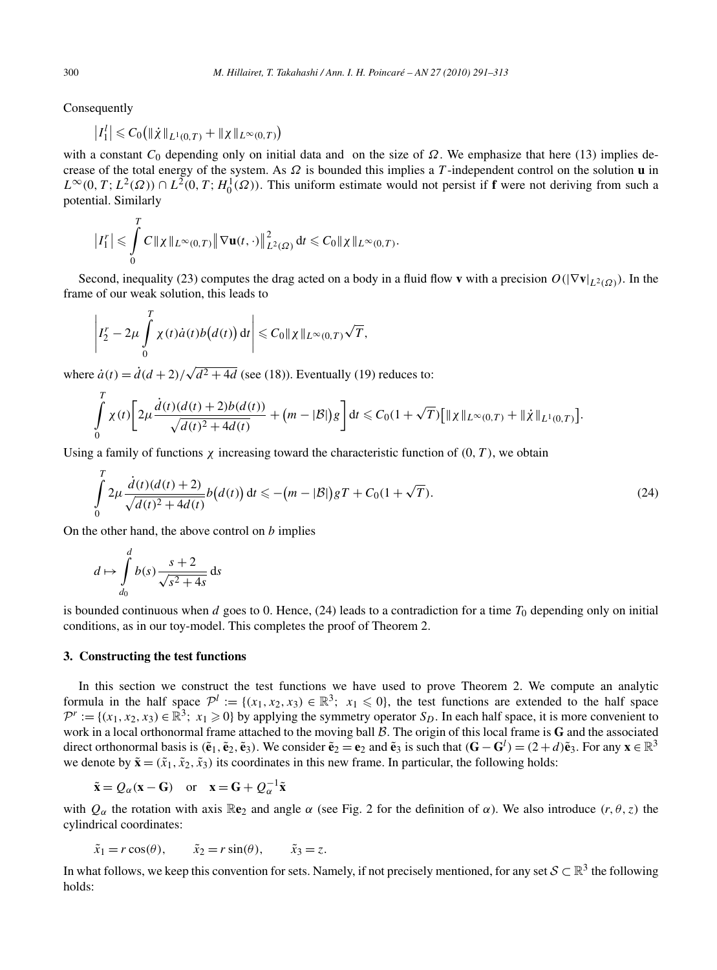Consequently

$$
|I_1^l| \leqslant C_0\big( \|\dot{\chi}\|_{L^1(0,T)} + \|\chi\|_{L^\infty(0,T)}\big)
$$

with a constant *C*<sup>0</sup> depending only on initial data and on the size of *Ω*. We emphasize that here (13) implies decrease of the total energy of the system. As *Ω* is bounded this implies a *T* -independent control on the solution **u** in  $L^{\infty}(0, T; L^2(\Omega)) \cap L^2(0, T; H_0^1(\Omega))$ . This uniform estimate would not persist if **f** were not deriving from such a potential. Similarly

$$
\left|I_1^r\right| \leqslant \int\limits_0^T C\|\chi\|_{L^\infty(0,T)} \left\|\nabla\mathbf{u}(t,\cdot)\right\|_{L^2(\Omega)}^2 \mathrm{d}t \leqslant C_0\|\chi\|_{L^\infty(0,T)}.
$$

Second, inequality (23) computes the drag acted on a body in a fluid flow **v** with a precision  $O(|\nabla \mathbf{v}|_{L^2(Q)})$ . In the frame of our weak solution, this leads to

$$
\left|I_2^r - 2\mu \int_0^T \chi(t) \dot{a}(t) b\big(d(t)\big) dt\right| \leqslant C_0 \| \chi \|_{L^\infty(0,T)} \sqrt{T},
$$

where  $\dot{a}(t) = \dot{d}(d+2)/\sqrt{d^2+4d}$  (see (18)). Eventually (19) reduces to:

$$
\int_{0}^{T} \chi(t) \bigg[ 2\mu \frac{\dot{d}(t)(d(t)+2)b(d(t))}{\sqrt{d(t)^{2}+4d(t)}} + (m-|\mathcal{B}|)g \bigg] dt \leq C_{0}(1+\sqrt{T}) \big[ ||\chi||_{L^{\infty}(0,T)} + ||\dot{\chi}||_{L^{1}(0,T)} \big].
$$

Using a family of functions  $\chi$  increasing toward the characteristic function of  $(0, T)$ , we obtain

$$
\int_{0}^{T} 2\mu \frac{\dot{d}(t)(d(t)+2)}{\sqrt{d(t)^{2}+4d(t)}} b(d(t)) dt \leqslant -(m-|\mathcal{B}|) gT + C_{0}(1+\sqrt{T}).
$$
\n(24)

On the other hand, the above control on *b* implies

$$
d \mapsto \int_{d_0}^{d} b(s) \frac{s+2}{\sqrt{s^2+4s}} ds
$$

is bounded continuous when *d* goes to 0. Hence, (24) leads to a contradiction for a time  $T_0$  depending only on initial conditions, as in our toy-model. This completes the proof of Theorem 2.

# **3. Constructing the test functions**

In this section we construct the test functions we have used to prove Theorem 2. We compute an analytic formula in the half space  $\mathcal{P}^l := \{(x_1, x_2, x_3) \in \mathbb{R}^3; x_1 \leq 0\}$ , the test functions are extended to the half space  $\mathcal{P}^r := \{(x_1, x_2, x_3) \in \mathbb{R}^3; x_1 \geq 0\}$  by applying the symmetry operator  $S_D$ . In each half space, it is more convenient to work in a local orthonormal frame attached to the moving ball B*.* The origin of this local frame is **G** and the associated direct orthonormal basis is  $(\tilde{\mathbf{e}}_1, \tilde{\mathbf{e}}_2, \tilde{\mathbf{e}}_3)$ . We consider  $\tilde{\mathbf{e}}_2 = \mathbf{e}_2$  and  $\tilde{\mathbf{e}}_3$  is such that  $(\mathbf{G} - \mathbf{G}^l) = (2 + d)\tilde{\mathbf{e}}_3$ . For any  $\mathbf{x} \in \mathbb{R}^3$ we denote by  $\tilde{\mathbf{x}} = (\tilde{x}_1, \tilde{x}_2, \tilde{x}_3)$  its coordinates in this new frame. In particular, the following holds:

$$
\tilde{\mathbf{x}} = Q_{\alpha}(\mathbf{x} - \mathbf{G})
$$
 or  $\mathbf{x} = \mathbf{G} + Q_{\alpha}^{-1}\tilde{\mathbf{x}}$ 

with  $Q_\alpha$  the rotation with axis  $\mathbb{R}e_2$  and angle  $\alpha$  (see Fig. 2 for the definition of  $\alpha$ ). We also introduce  $(r, \theta, z)$  the cylindrical coordinates:

$$
\tilde{x}_1 = r \cos(\theta), \qquad \tilde{x}_2 = r \sin(\theta), \qquad \tilde{x}_3 = z.
$$

In what follows, we keep this convention for sets. Namely, if not precisely mentioned, for any set  $S \subset \mathbb{R}^3$  the following holds: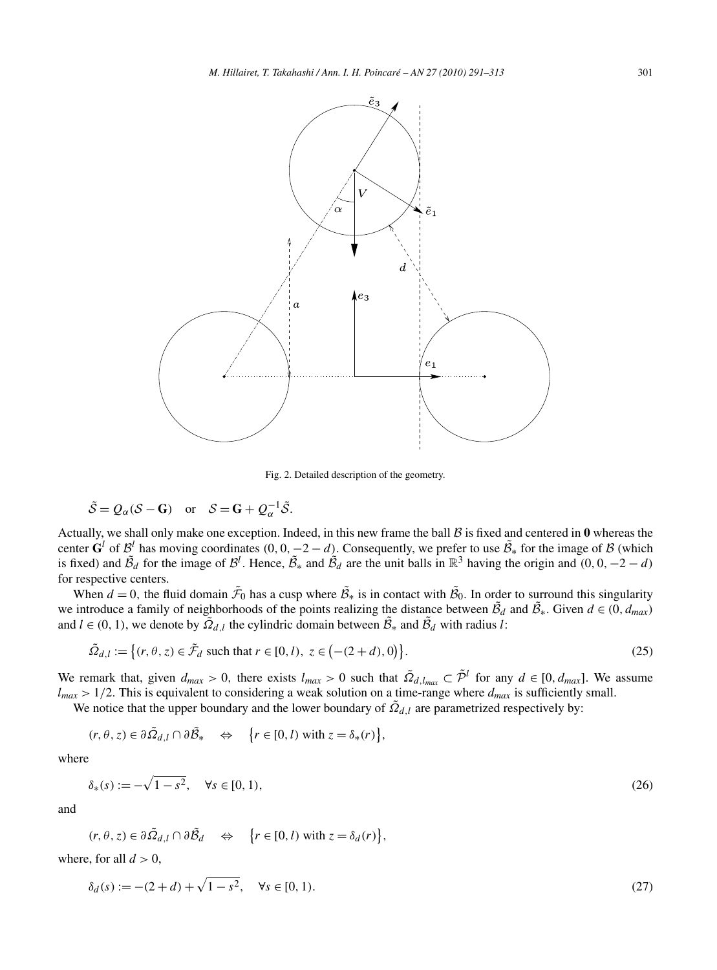

Fig. 2. Detailed description of the geometry.

$$
\tilde{S} = Q_{\alpha}(S - \mathbf{G})
$$
 or  $S = \mathbf{G} + Q_{\alpha}^{-1}\tilde{S}$ .

Actually, we shall only make one exception. Indeed, in this new frame the ball  $\beta$  is fixed and centered in  $\bf{0}$  whereas the center  $\mathbf{G}^l$  of  $\mathcal{B}^l$  has moving coordinates  $(0, 0, -2 - d)$ . Consequently, we prefer to use  $\tilde{\mathcal{B}}_*$  for the image of  $\mathcal{B}$  (which is fixed) and  $\tilde{B}_d$  for the image of  $\mathcal{B}^l$ . Hence,  $\tilde{B}_*$  and  $\tilde{B}_d$  are the unit balls in  $\mathbb{R}^3$  having the origin and  $(0, 0, -2 - d)$ for respective centers.

When  $d = 0$ , the fluid domain  $\tilde{\mathcal{F}}_0$  has a cusp where  $\tilde{\mathcal{B}}_*$  is in contact with  $\tilde{\mathcal{B}}_0$ . In order to surround this singularity we introduce a family of neighborhoods of the points realizing the distance between  $\tilde{B}_d$  and  $\tilde{B}_*$ . Given  $d \in (0, d_{max})$ and  $l \in (0, 1)$ , we denote by  $\overline{Q}_{d,l}$  the cylindric domain between  $\overline{B}_*$  and  $\overline{B}_d$  with radius *l*:

$$
\tilde{\Omega}_{d,l} := \left\{ (r, \theta, z) \in \tilde{\mathcal{F}}_d \text{ such that } r \in [0, l), z \in \left( -(2 + d), 0 \right) \right\}. \tag{25}
$$

We remark that, given  $d_{max} > 0$ , there exists  $l_{max} > 0$  such that  $\tilde{Q}_{d, l_{max}} \subset \tilde{\mathcal{P}}^l$  for any  $d \in [0, d_{max}]$ . We assume  $l_{max}$  > 1/2. This is equivalent to considering a weak solution on a time-range where  $d_{max}$  is sufficiently small.

We notice that the upper boundary and the lower boundary of  $\tilde{Q}_{d,l}$  are parametrized respectively by:

$$
(r, \theta, z) \in \partial \tilde{\Omega}_{d,l} \cap \partial \tilde{\mathcal{B}}_* \quad \Leftrightarrow \quad \big\{ r \in [0, l) \text{ with } z = \delta_*(r) \big\},
$$

where

$$
\delta_*(s) := -\sqrt{1 - s^2}, \quad \forall s \in [0, 1), \tag{26}
$$

and

$$
(r, \theta, z) \in \partial \tilde{\Omega}_{d,l} \cap \partial \tilde{\mathcal{B}}_d \iff \{r \in [0, l) \text{ with } z = \delta_d(r)\},\
$$

where, for all  $d > 0$ ,

$$
\delta_d(s) := -(2+d) + \sqrt{1-s^2}, \quad \forall s \in [0,1).
$$
\n(27)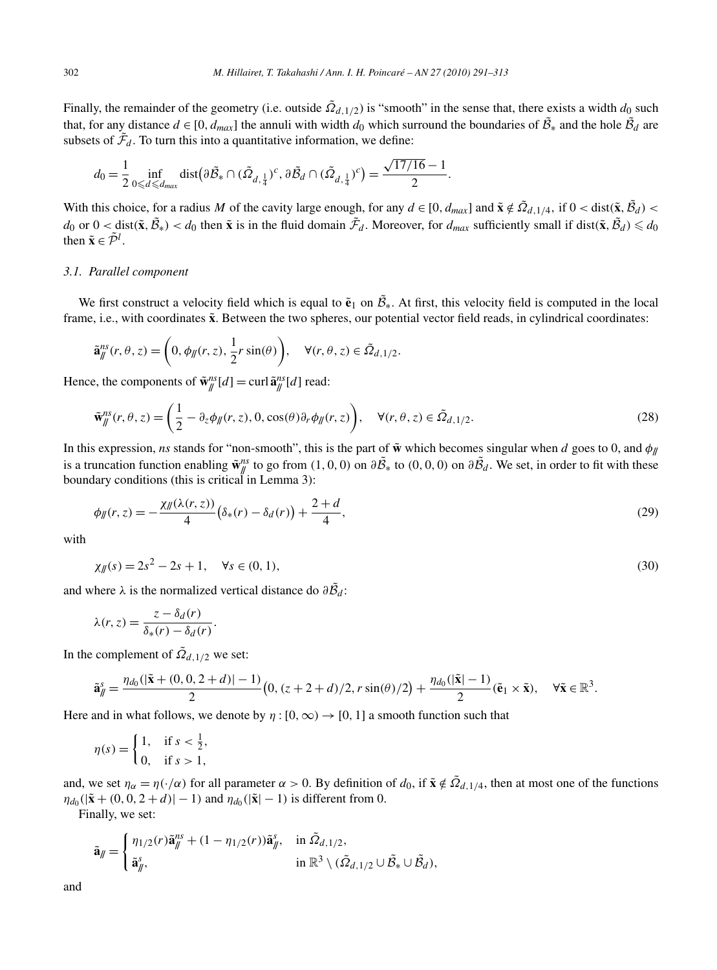Finally, the remainder of the geometry (i.e. outside  $\tilde{Q}_{d,1/2}$ ) is "smooth" in the sense that, there exists a width  $d_0$  such that, for any distance  $d \in [0, d_{max}]$  the annuli with width  $d_0$  which surround the boundaries of  $\tilde{\mathcal{B}}_*$  and the hole  $\tilde{\mathcal{B}}_d$  are subsets of  $\tilde{\mathcal{F}}_d$ . To turn this into a quantitative information, we define:

$$
d_0 = \frac{1}{2} \inf_{0 \leq d \leq d_{max}} \text{dist} \big( \partial \tilde{B}_* \cap (\tilde{\Omega}_{d, \frac{1}{4}})^c, \partial \tilde{B}_d \cap (\tilde{\Omega}_{d, \frac{1}{4}})^c \big) = \frac{\sqrt{17/16} - 1}{2}.
$$

With this choice, for a radius M of the cavity large enough, for any  $d \in [0, d_{max}]$  and  $\tilde{\mathbf{x}} \notin \tilde{\Omega}_{d,1/4}$ , if  $0 < \text{dist}(\tilde{\mathbf{x}}, \tilde{\theta}_d) <$  $d_0$  or  $0 <$  dist $(\tilde{\mathbf{x}}, \tilde{\mathcal{B}}_*) < d_0$  then  $\tilde{\mathbf{x}}$  is in the fluid domain  $\tilde{\mathcal{F}}_d$ . Moreover, for  $d_{max}$  sufficiently small if dist $(\tilde{\mathbf{x}}, \tilde{\mathcal{B}}_d) \leq d_0$ then  $\tilde{\mathbf{x}} \in \tilde{\mathcal{P}}^l$ .

## *3.1. Parallel component*

We first construct a velocity field which is equal to  $\tilde{\mathbf{e}}_1$  on  $\tilde{\mathcal{B}}_*$ . At first, this velocity field is computed in the local frame, i.e., with coordinates  $\tilde{\mathbf{x}}$ . Between the two spheres, our potential vector field reads, in cylindrical coordinates:

$$
\tilde{\mathbf{a}}_{\#}^{ns}(r,\theta,z) = \left(0, \phi_{\#}(r,z), \frac{1}{2}r\sin(\theta)\right), \quad \forall (r,\theta,z) \in \tilde{\Omega}_{d,1/2}.
$$

Hence, the components of  $\tilde{\mathbf{w}}_{\parallel}^{ns}[d] = \text{curl } \tilde{\mathbf{a}}_{\parallel}^{ns}[d]$  read:

$$
\tilde{\mathbf{w}}_{\parallel}^{ns}(r,\theta,z) = \left(\frac{1}{2} - \partial_z \phi_{\parallel}(r,z), 0, \cos(\theta)\partial_r \phi_{\parallel}(r,z)\right), \quad \forall (r,\theta,z) \in \tilde{\Omega}_{d,1/2}.
$$
\n(28)

In this expression, *ns* stands for "non-smooth", this is the part of  $\tilde{w}$  which becomes singular when *d* goes to 0, and  $\phi_{\parallel}$ is a truncation function enabling  $\tilde{\mathbf{w}}_{\ell}^{ns}$  to go from  $(1, 0, 0)$  on  $\partial \tilde{B}_*$  to  $(0, 0, 0)$  on  $\partial \tilde{B}_d$ . We set, in order to fit with these boundary conditions (this is critical in Lemma 3):

$$
\phi_{\parallel}(r,z) = -\frac{\chi_{\parallel}(\lambda(r,z))}{4} \left( \delta_*(r) - \delta_d(r) \right) + \frac{2+d}{4},\tag{29}
$$

with

$$
\chi_{\parallel}(s) = 2s^2 - 2s + 1, \quad \forall s \in (0, 1), \tag{30}
$$

and where  $\lambda$  is the normalized vertical distance do  $\partial \tilde{B}_d$ :

$$
\lambda(r, z) = \frac{z - \delta_d(r)}{\delta_*(r) - \delta_d(r)}.
$$

In the complement of  $\tilde{\Omega}_{d,1/2}$  we set:

$$
\tilde{\mathbf{a}}_{\parallel}^{s} = \frac{\eta_{d_0}(|\tilde{\mathbf{x}} + (0,0,2+d)|-1)}{2} \big(0,(z+2+d)/2,r\sin(\theta)/2\big) + \frac{\eta_{d_0}(|\tilde{\mathbf{x}}|-1)}{2}(\tilde{\mathbf{e}}_1 \times \tilde{\mathbf{x}}), \quad \forall \tilde{\mathbf{x}} \in \mathbb{R}^3.
$$

Here and in what follows, we denote by  $\eta : [0, \infty) \to [0, 1]$  a smooth function such that

$$
\eta(s) = \begin{cases} 1, & \text{if } s < \frac{1}{2}, \\ 0, & \text{if } s > 1, \end{cases}
$$

and, we set  $\eta_{\alpha} = \eta(\cdot/\alpha)$  for all parameter  $\alpha > 0$ . By definition of  $d_0$ , if  $\tilde{\mathbf{x}} \notin \tilde{\Omega}_{d,1/4}$ , then at most one of the functions  $\eta_{d_0}(|\tilde{\mathbf{x}}| + (0, 0, 2 + d)| - 1)$  and  $\eta_{d_0}(|\tilde{\mathbf{x}}| - 1)$  is different from 0.

Finally, we set:

$$
\tilde{\mathbf{a}}_{\parallel} = \begin{cases} \eta_{1/2}(r)\tilde{\mathbf{a}}_{\parallel}^{ns} + (1 - \eta_{1/2}(r))\tilde{\mathbf{a}}_{\parallel}^{s}, & \text{in } \tilde{\Omega}_{d,1/2}, \\ \tilde{\mathbf{a}}_{\parallel}^{s}, & \text{in } \mathbb{R}^{3} \setminus (\tilde{\Omega}_{d,1/2} \cup \tilde{\mathcal{B}}_{*} \cup \tilde{\mathcal{B}}_{d}), \end{cases}
$$

and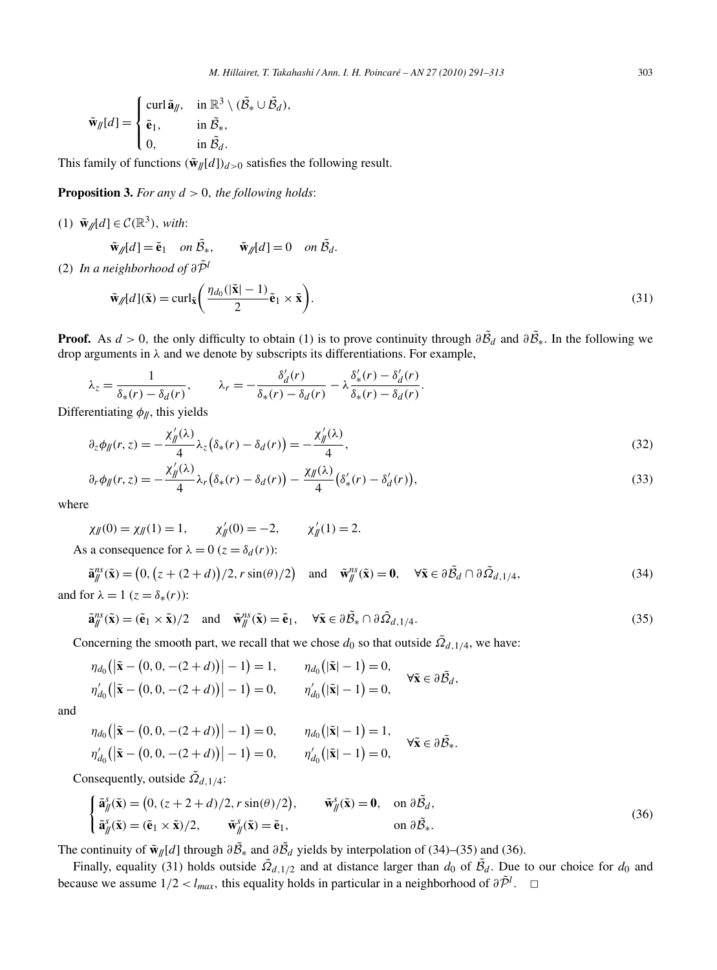$$
\tilde{\mathbf{w}}_{\parallel}(d) = \begin{cases}\n\text{curl } \tilde{\mathbf{a}}_{\parallel}, & \text{in } \mathbb{R}^3 \setminus (\tilde{\mathcal{B}}_* \cup \tilde{\mathcal{B}}_d), \\
\tilde{\mathbf{e}}_1, & \text{in } \tilde{\mathcal{B}}_*, \\
0, & \text{in } \tilde{\mathcal{B}}_d.\n\end{cases}
$$

This family of functions  $(\tilde{\mathbf{w}}_N[d])_{d>0}$  satisfies the following result.

**Proposition 3.** *For any d >* 0*, the following holds*:

(1)  $\tilde{\mathbf{w}}_{\ell}$   $[d] \in \mathcal{C}(\mathbb{R}^3)$ , *with*:

$$
\tilde{\mathbf{w}}_{\mathscr{J}}[d] = \tilde{\mathbf{e}}_1 \quad on \ \tilde{\mathcal{B}}_*, \qquad \tilde{\mathbf{w}}_{\mathscr{J}}[d] = 0 \quad on \ \tilde{\mathcal{B}}_d.
$$

(2) *In a neighborhood of*  $\partial \tilde{\mathcal{P}}^l$ 

$$
\tilde{\mathbf{w}}_{\ell}[d](\tilde{\mathbf{x}}) = \operatorname{curl}_{\tilde{\mathbf{x}}} \left( \frac{\eta_{d_0}(|\tilde{\mathbf{x}}| - 1)}{2} \tilde{\mathbf{e}}_1 \times \tilde{\mathbf{x}} \right). \tag{31}
$$

**Proof.** As  $d > 0$ , the only difficulty to obtain (1) is to prove continuity through  $\partial \tilde{B}_d$  and  $\partial \tilde{B}_*$ . In the following we drop arguments in *λ* and we denote by subscripts its differentiations. For example,

$$
\lambda_z = \frac{1}{\delta_*(r) - \delta_d(r)}, \qquad \lambda_r = -\frac{\delta_d'(r)}{\delta_*(r) - \delta_d(r)} - \lambda \frac{\delta'_*(r) - \delta_d'(r)}{\delta_*(r) - \delta_d(r)}.
$$

Differentiating  $\phi_{\parallel}$ , this yields

$$
\partial_z \phi_{jj}(r, z) = -\frac{\chi_{jj}(\lambda)}{4} \lambda_z (\delta_*(r) - \delta_d(r)) = -\frac{\chi_{jj}(\lambda)}{4},\tag{32}
$$

$$
\partial_r \phi_{\parallel}(r,z) = -\frac{\chi_{\parallel}'(\lambda)}{4} \lambda_r \left( \delta_*(r) - \delta_d(r) \right) - \frac{\chi_{\parallel}(\lambda)}{4} \left( \delta'_*(r) - \delta'_d(r) \right),\tag{33}
$$

where

$$
\chi_{jj}(0) = \chi_{jj}(1) = 1,
$$
  $\chi'_{jj}(0) = -2,$   $\chi'_{jj}(1) = 2.$   
As a consequence for  $\lambda = 0$  ( $z = \delta_d(r)$ ):

$$
\tilde{\mathbf{a}}_{\parallel}^{ns}(\tilde{\mathbf{x}}) = (0, (z + (2 + d))/2, r \sin(\theta)/2) \text{ and } \tilde{\mathbf{w}}_{\parallel}^{ns}(\tilde{\mathbf{x}}) = \mathbf{0}, \quad \forall \tilde{\mathbf{x}} \in \partial \tilde{\mathcal{B}}_{d} \cap \partial \tilde{\Omega}_{d,1/4},
$$
\n(34)

and for  $\lambda = 1$  ( $z = \delta_*(r)$ ):

$$
\tilde{\mathbf{a}}_{\parallel}^{ns}(\tilde{\mathbf{x}}) = (\tilde{\mathbf{e}}_1 \times \tilde{\mathbf{x}})/2 \quad \text{and} \quad \tilde{\mathbf{w}}_{\parallel}^{ns}(\tilde{\mathbf{x}}) = \tilde{\mathbf{e}}_1, \quad \forall \tilde{\mathbf{x}} \in \partial \tilde{B}_* \cap \partial \tilde{\Omega}_{d,1/4}.
$$

Concerning the smooth part, we recall that we chose  $d_0$  so that outside  $\overline{Q}_{d,1/4}$ , we have:

$$
\eta_{d_0}(|\tilde{\mathbf{x}} - (0, 0, -(2+d))| - 1) = 1, \qquad \eta_{d_0}(|\tilde{\mathbf{x}}| - 1) = 0, \eta'_{d_0}(|\tilde{\mathbf{x}} - (0, 0, -(2+d))| - 1) = 0, \qquad \eta'_{d_0}(|\tilde{\mathbf{x}}| - 1) = 0, \qquad \forall \tilde{\mathbf{x}} \in \partial \tilde{\mathcal{B}}_d,
$$

and

$$
\eta_{d_0}(|\tilde{\mathbf{x}} - (0, 0, -(2+d))| - 1) = 0, \qquad \eta_{d_0}(|\tilde{\mathbf{x}}| - 1) = 1, \eta'_{d_0}(|\tilde{\mathbf{x}} - (0, 0, -(2+d))| - 1) = 0, \qquad \eta'_{d_0}(|\tilde{\mathbf{x}}| - 1) = 0, \qquad \forall \tilde{\mathbf{x}} \in \partial \tilde{\mathcal{B}}_*.
$$

Consequently, outside  $\tilde{\Omega}_{d,1/4}$ :

$$
\begin{cases}\n\tilde{\mathbf{a}}_{\parallel}^s(\tilde{\mathbf{x}}) = (0, (z + 2 + d)/2, r \sin(\theta)/2), & \tilde{\mathbf{w}}_{\parallel}^s(\tilde{\mathbf{x}}) = \mathbf{0}, \text{ on } \partial \tilde{B}_d, \\
\tilde{\mathbf{a}}_{\parallel}^s(\tilde{\mathbf{x}}) = (\tilde{\mathbf{e}}_1 \times \tilde{\mathbf{x}})/2, & \tilde{\mathbf{w}}_{\parallel}^s(\tilde{\mathbf{x}}) = \tilde{\mathbf{e}}_1,\n\end{cases}
$$
\n(36)

The continuity of  $\tilde{\mathbf{w}}_{\parallel}(d)$  through  $\partial \tilde{\mathcal{B}}_{*}$  and  $\partial \tilde{\mathcal{B}}_{d}$  yields by interpolation of (34)–(35) and (36).

Finally, equality (31) holds outside  $\tilde{\Omega}_{d,1/2}$  and at distance larger than  $d_0$  of  $\tilde{\beta}_d$ . Due to our choice for  $d_0$  and because we assume  $1/2 < l_{max}$ , this equality holds in particular in a neighborhood of  $\partial \tilde{P}^l$ .  $\Box$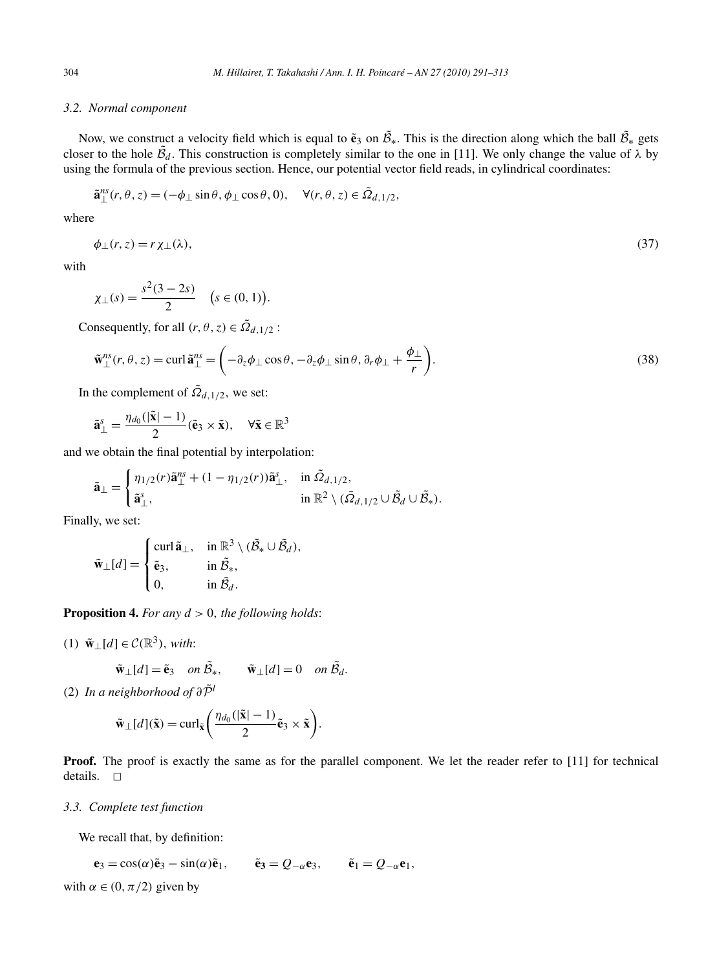# *3.2. Normal component*

Now, we construct a velocity field which is equal to  $\tilde{\mathbf{e}}_3$  on  $\tilde{\mathcal{B}}_*$ . This is the direction along which the ball  $\tilde{\mathcal{B}}_*$  gets closer to the hole  $\tilde{B}_d$ . This construction is completely similar to the one in [11]. We only change the value of  $\lambda$  by using the formula of the previous section. Hence, our potential vector field reads, in cylindrical coordinates:

$$
\tilde{\mathbf{a}}_{\perp}^{ns}(r,\theta,z) = (-\phi_{\perp}\sin\theta,\phi_{\perp}\cos\theta,0), \quad \forall (r,\theta,z) \in \tilde{\Omega}_{d,1/2},
$$

where

$$
\phi_{\perp}(r,z) = r\chi_{\perp}(\lambda),\tag{37}
$$

with

$$
\chi_{\perp}(s) = \frac{s^2(3-2s)}{2} \quad (s \in (0,1)).
$$

Consequently, for all  $(r, \theta, z) \in \tilde{\Omega}_{d,1/2}$ :

$$
\tilde{\mathbf{w}}_{\perp}^{ns}(r,\theta,z) = \operatorname{curl} \tilde{\mathbf{a}}_{\perp}^{ns} = \left(-\partial_z \phi_{\perp} \cos \theta, -\partial_z \phi_{\perp} \sin \theta, \partial_r \phi_{\perp} + \frac{\phi_{\perp}}{r}\right).
$$
\n(38)

In the complement of  $\tilde{\Omega}_{d,1/2}$ , we set:

$$
\tilde{\mathbf{a}}_{\perp}^{s} = \frac{\eta_{d_0}(|\tilde{\mathbf{x}}| - 1)}{2} (\tilde{\mathbf{e}}_3 \times \tilde{\mathbf{x}}), \quad \forall \tilde{\mathbf{x}} \in \mathbb{R}^3
$$

and we obtain the final potential by interpolation:

$$
\tilde{\mathbf{a}}_{\perp} = \begin{cases} \eta_{1/2}(r)\tilde{\mathbf{a}}_{\perp}^{ns} + (1 - \eta_{1/2}(r))\tilde{\mathbf{a}}_{\perp}^{s}, & \text{in } \tilde{\Omega}_{d,1/2}, \\ \tilde{\mathbf{a}}_{\perp}^{s}, & \text{in } \mathbb{R}^{2} \setminus (\tilde{\Omega}_{d,1/2} \cup \tilde{\mathcal{B}}_{d} \cup \tilde{\mathcal{B}}_{s}). \end{cases}
$$

Finally, we set:

$$
\tilde{\mathbf{w}}_{\perp}[d] = \begin{cases}\n\operatorname{curl} \tilde{\mathbf{a}}_{\perp}, & \text{in } \mathbb{R}^3 \setminus (\tilde{\mathcal{B}}_{*} \cup \tilde{\mathcal{B}}_{d}), \\
\tilde{\mathbf{e}}_{3}, & \text{in } \tilde{\mathcal{B}}_{*}, \\
0, & \text{in } \tilde{\mathcal{B}}_{d}.\n\end{cases}
$$

**Proposition 4.** *For any d >* 0*, the following holds*:

(1)  $\tilde{\mathbf{w}}$  ⊥[*d*] ∈  $\mathcal{C}(\mathbb{R}^3)$ , *with*:

$$
\tilde{\mathbf{w}}_{\perp}[d] = \tilde{\mathbf{e}}_3 \quad on \ \tilde{\mathcal{B}}_*, \qquad \tilde{\mathbf{w}}_{\perp}[d] = 0 \quad on \ \tilde{\mathcal{B}}_d.
$$

(2) *In a neighborhood of*  $\partial \tilde{\mathcal{P}}^l$ 

$$
\tilde{\mathbf{w}}_{\perp}[d](\tilde{\mathbf{x}}) = \operatorname{curl}_{\tilde{\mathbf{x}}} \left( \frac{\eta_{d_0}(|\tilde{\mathbf{x}}| - 1)}{2} \tilde{\mathbf{e}}_3 \times \tilde{\mathbf{x}} \right).
$$

**Proof.** The proof is exactly the same as for the parallel component. We let the reader refer to [11] for technical details.  $\square$ 

*3.3. Complete test function*

We recall that, by definition:

$$
\mathbf{e}_3 = \cos(\alpha)\tilde{\mathbf{e}}_3 - \sin(\alpha)\tilde{\mathbf{e}}_1, \qquad \tilde{\mathbf{e}}_3 = Q_{-\alpha}\mathbf{e}_3, \qquad \tilde{\mathbf{e}}_1 = Q_{-\alpha}\mathbf{e}_1,
$$

with  $\alpha \in (0, \pi/2)$  given by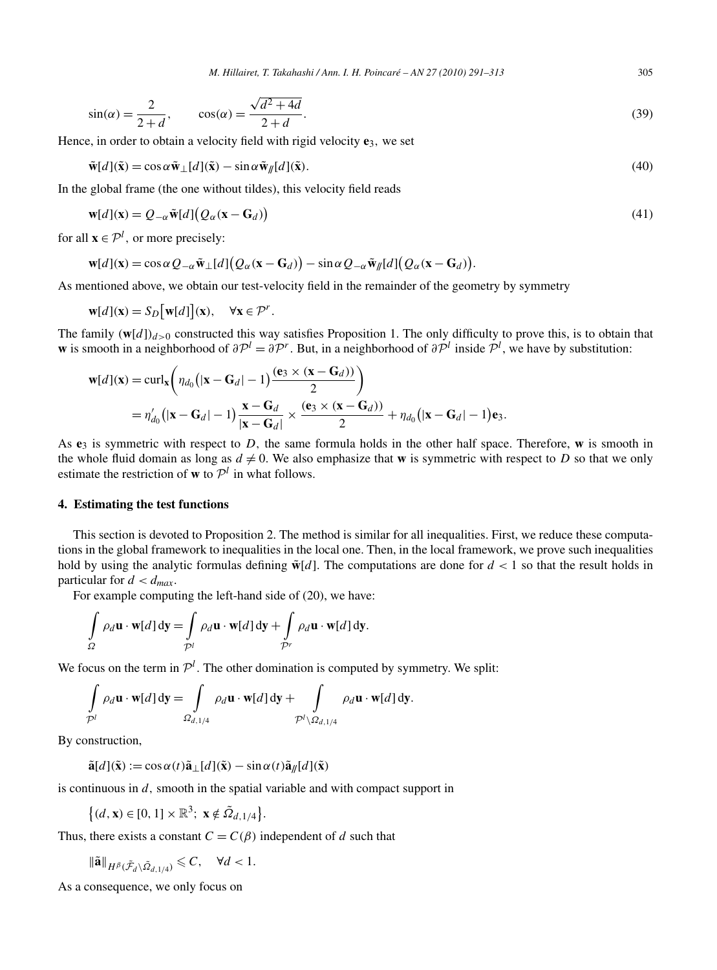$$
\sin(\alpha) = \frac{2}{2+d}, \qquad \cos(\alpha) = \frac{\sqrt{d^2 + 4d}}{2+d}.\tag{39}
$$

Hence, in order to obtain a velocity field with rigid velocity  $e_3$ , we set

$$
\tilde{\mathbf{w}}[d](\tilde{\mathbf{x}}) = \cos \alpha \tilde{\mathbf{w}}_{\perp}[d](\tilde{\mathbf{x}}) - \sin \alpha \tilde{\mathbf{w}}_{\parallel}[d](\tilde{\mathbf{x}}). \tag{40}
$$

In the global frame (the one without tildes), this velocity field reads

$$
\mathbf{w}[d](\mathbf{x}) = Q_{-\alpha} \tilde{\mathbf{w}}[d] (Q_{\alpha}(\mathbf{x} - \mathbf{G}_d))
$$
\n(41)

for all  $\mathbf{x} \in \mathcal{P}^l$ , or more precisely:

$$
\mathbf{w}[d](\mathbf{x}) = \cos \alpha \, Q_{-\alpha} \tilde{\mathbf{w}}_{\perp}[d] \big( Q_{\alpha}(\mathbf{x} - \mathbf{G}_d) \big) - \sin \alpha \, Q_{-\alpha} \tilde{\mathbf{w}}_{\parallel}[d] \big( Q_{\alpha}(\mathbf{x} - \mathbf{G}_d) \big).
$$

As mentioned above, we obtain our test-velocity field in the remainder of the geometry by symmetry

$$
\mathbf{w}[d](\mathbf{x}) = S_D[\mathbf{w}[d]](\mathbf{x}), \quad \forall \mathbf{x} \in \mathcal{P}^r.
$$

The family  $(w[d])_{d>0}$  constructed this way satisfies Proposition 1. The only difficulty to prove this, is to obtain that **w** is smooth in a neighborhood of  $\partial P^l = \partial P^r$ . But, in a neighborhood of  $\partial P^l$  inside  $P^l$ , we have by substitution:

$$
\mathbf{w}[d](\mathbf{x}) = \operatorname{curl}_{\mathbf{x}} \left( \eta_{d_0} \left( |\mathbf{x} - \mathbf{G}_d| - 1 \right) \frac{(\mathbf{e}_3 \times (\mathbf{x} - \mathbf{G}_d))}{2} \right)
$$
  
=  $\eta'_{d_0} \left( |\mathbf{x} - \mathbf{G}_d| - 1 \right) \frac{\mathbf{x} - \mathbf{G}_d}{|\mathbf{x} - \mathbf{G}_d|} \times \frac{(\mathbf{e}_3 \times (\mathbf{x} - \mathbf{G}_d))}{2} + \eta_{d_0} \left( |\mathbf{x} - \mathbf{G}_d| - 1 \right) \mathbf{e}_3.$ 

As  $e_3$  is symmetric with respect to *D*, the same formula holds in the other half space. Therefore, **w** is smooth in the whole fluid domain as long as  $d \neq 0$ . We also emphasize that **w** is symmetric with respect to *D* so that we only estimate the restriction of **w** to  $\mathcal{P}^l$  in what follows.

## **4. Estimating the test functions**

This section is devoted to Proposition 2. The method is similar for all inequalities. First, we reduce these computations in the global framework to inequalities in the local one. Then, in the local framework, we prove such inequalities hold by using the analytic formulas defining  $\tilde{\mathbf{w}}[d]$ . The computations are done for  $d < 1$  so that the result holds in particular for  $d < d_{max}$ .

For example computing the left-hand side of (20), we have:

$$
\int_{\Omega} \rho_d \mathbf{u} \cdot \mathbf{w}[d] \, \mathrm{d} \mathbf{y} = \int_{\mathcal{P}^l} \rho_d \mathbf{u} \cdot \mathbf{w}[d] \, \mathrm{d} \mathbf{y} + \int_{\mathcal{P}^r} \rho_d \mathbf{u} \cdot \mathbf{w}[d] \, \mathrm{d} \mathbf{y}.
$$

We focus on the term in  $\mathcal{P}^l$ . The other domination is computed by symmetry. We split:

$$
\int_{\mathcal{P}^l} \rho_d \mathbf{u} \cdot \mathbf{w}[d] \, \mathrm{d} \mathbf{y} = \int_{\Omega_{d,1/4}} \rho_d \mathbf{u} \cdot \mathbf{w}[d] \, \mathrm{d} \mathbf{y} + \int_{\mathcal{P}^l \setminus \Omega_{d,1/4}} \rho_d \mathbf{u} \cdot \mathbf{w}[d] \, \mathrm{d} \mathbf{y}.
$$

By construction,

 $\tilde{\mathbf{a}}[d](\tilde{\mathbf{x}}) := \cos \alpha(t) \tilde{\mathbf{a}} \cdot [d](\tilde{\mathbf{x}}) - \sin \alpha(t) \tilde{\mathbf{a}} \cdot [d](\tilde{\mathbf{x}})$ 

is continuous in *d,* smooth in the spatial variable and with compact support in

$$
\left\{(d, \mathbf{x}) \in [0, 1] \times \mathbb{R}^3; \ \mathbf{x} \notin \tilde{\Omega}_{d, 1/4} \right\}.
$$

Thus, there exists a constant  $C = C(\beta)$  independent of *d* such that

$$
\|\tilde{\mathbf{a}}\|_{H^{\beta}(\tilde{\mathcal{F}}_d\backslash \tilde{\Omega}_{d,1/4})}\leqslant C, \quad \forall d<1.
$$

As a consequence, we only focus on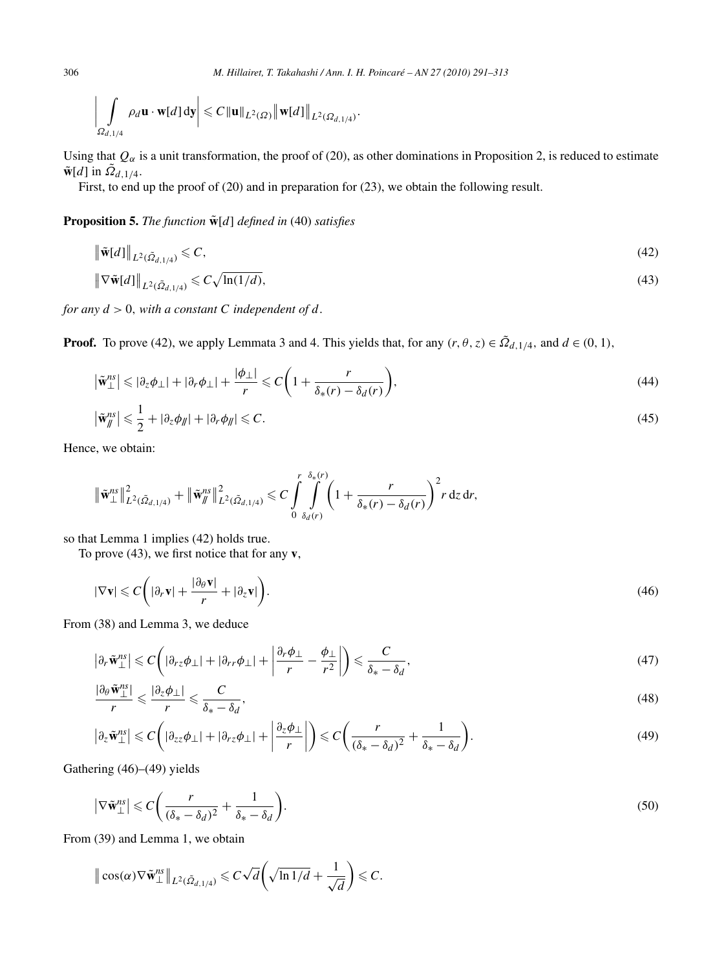$$
\left|\int_{\Omega_{d,1/4}} \rho_d \mathbf{u} \cdot \mathbf{w}[d] \, \mathrm{d}\mathbf{y}\right| \leqslant C \|\mathbf{u}\|_{L^2(\Omega)} \|\mathbf{w}[d]\|_{L^2(\Omega_{d,1/4})}.
$$

Using that  $Q_\alpha$  is a unit transformation, the proof of (20), as other dominations in Proposition 2, is reduced to estimate  $\tilde{\mathbf{w}}[d]$  in  $\tilde{\Omega}_{d,1/4}$ .

First, to end up the proof of (20) and in preparation for (23), we obtain the following result.

**Proposition 5.** *The function*  $\tilde{\mathbf{w}}[d]$  *defined in* (40) *satisfies* 

$$
\left\| \tilde{\mathbf{w}}[d] \right\|_{L^2(\tilde{\Omega}_{d,1/4})} \leqslant C,
$$
\n
$$
\left\| \nabla \tilde{\mathbf{w}}[d] \right\|_{L^2(\tilde{\Omega}_{d,1/4})} \leqslant C \sqrt{\ln(1/d)},
$$
\n
$$
(43)
$$

*for any*  $d > 0$ *, with a constant C independent of*  $d$ *.* 

**Proof.** To prove (42), we apply Lemmata 3 and 4. This yields that, for any  $(r, \theta, z) \in \tilde{\Omega}_{d,1/4}$ , and  $d \in (0, 1)$ ,

$$
\left|\tilde{\mathbf{w}}_{\perp}^{ns}\right| \leqslant |\partial_z \phi_{\perp}| + |\partial_r \phi_{\perp}| + \frac{|\phi_{\perp}|}{r} \leqslant C\left(1 + \frac{r}{\delta_*(r) - \delta_d(r)}\right),\tag{44}
$$

$$
\left|\tilde{\mathbf{w}}_{\parallel}^{ns}\right| \leqslant \frac{1}{2} + |\partial_z \phi_{\parallel}| + |\partial_r \phi_{\parallel}| \leqslant C. \tag{45}
$$

Hence, we obtain:

$$
\|\tilde{\mathbf{w}}_{\perp}^{ns}\|_{L^{2}(\tilde{\Omega}_{d,1/4})}^{2}+\|\tilde{\mathbf{w}}_{\parallel}^{ns}\|_{L^{2}(\tilde{\Omega}_{d,1/4})}^{2} \leq C \int_{0}^{r} \int_{\delta_{d}(r)}^{\delta_{*}(r)} \left(1+\frac{r}{\delta_{*}(r)-\delta_{d}(r)}\right)^{2} r \,dz \,dr,
$$

so that Lemma 1 implies (42) holds true.

To prove (43), we first notice that for any **v**,

$$
|\nabla \mathbf{v}| \leqslant C \bigg( |\partial_r \mathbf{v}| + \frac{|\partial_\theta \mathbf{v}|}{r} + |\partial_z \mathbf{v}| \bigg). \tag{46}
$$

From (38) and Lemma 3, we deduce

$$
\left|\partial_r \tilde{\mathbf{w}}_{\perp}^{ns}\right| \leqslant C\left(|\partial_{rz}\phi_{\perp}| + |\partial_{rr}\phi_{\perp}| + \left|\frac{\partial_r \phi_{\perp}}{r} - \frac{\phi_{\perp}}{r^2}\right|\right) \leqslant \frac{C}{\delta_* - \delta_d},\tag{47}
$$

$$
\frac{|\partial_{\theta}\tilde{\mathbf{w}}_{\perp}^{ns}|}{r} \leqslant \frac{|\partial_{z}\phi_{\perp}|}{r} \leqslant \frac{C}{\delta_{*} - \delta_{d}},\tag{48}
$$

$$
\left|\partial_z \tilde{\mathbf{w}}_{\perp}^{ns}\right| \leqslant C\left(|\partial_{zz}\phi_{\perp}| + |\partial_{rz}\phi_{\perp}| + \left|\frac{\partial_z \phi_{\perp}}{r}\right|\right) \leqslant C\left(\frac{r}{(\delta_* - \delta_d)^2} + \frac{1}{\delta_* - \delta_d}\right).
$$
\n(49)

Gathering (46)–(49) yields

$$
\left|\nabla \tilde{\mathbf{w}}_{\perp}^{ns}\right| \leqslant C\bigg(\frac{r}{\left(\delta_* - \delta_d\right)^2} + \frac{1}{\delta_* - \delta_d}\bigg). \tag{50}
$$

From (39) and Lemma 1, we obtain

$$
\|\cos(\alpha)\nabla\tilde{\mathbf{w}}^{ns}_{\perp}\|_{L^2(\tilde{\Omega}_{d,1/4})}\leqslant C\sqrt{d}\left(\sqrt{\ln 1/d}+\frac{1}{\sqrt{d}}\right)\leqslant C.
$$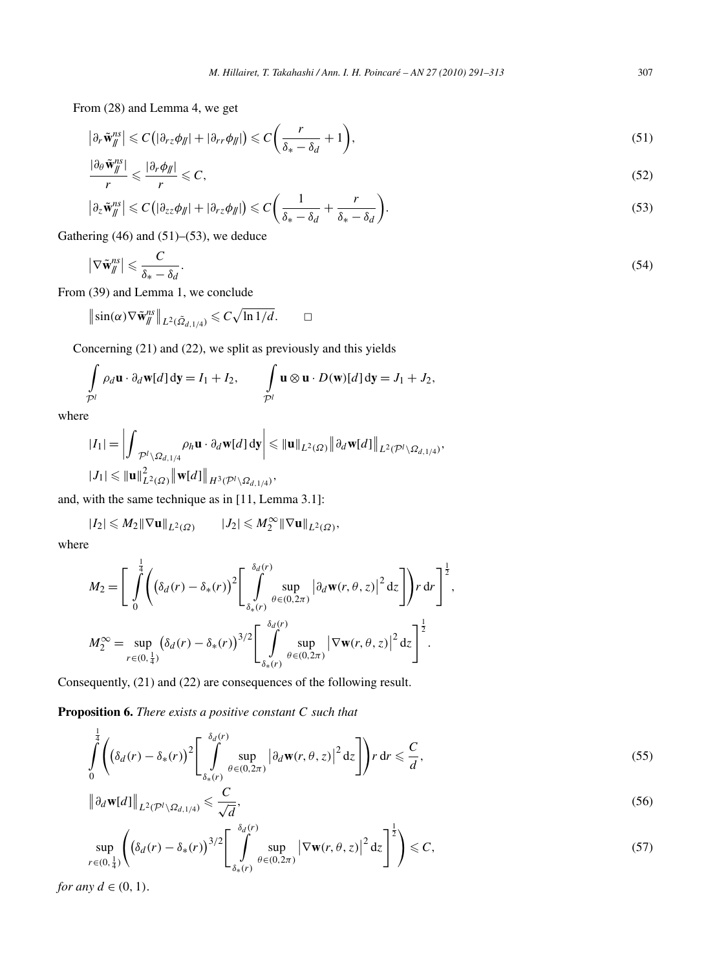From (28) and Lemma 4, we get

$$
\left|\partial_r \tilde{\mathbf{w}}_{\parallel}^{ns}\right| \leqslant C\left(\left|\partial_{rz}\phi_{\parallel}\right| + \left|\partial_{rr}\phi_{\parallel}\right|\right) \leqslant C\left(\frac{r}{\delta_* - \delta_d} + 1\right),\tag{51}
$$

$$
\frac{|\partial_{\theta}\tilde{\mathbf{w}}_{\parallel}^{ns}|}{r} \leqslant \frac{|\partial_{r}\phi_{\parallel}|}{r} \leqslant C,\tag{52}
$$

$$
\left|\partial_z \tilde{\mathbf{w}}_{\parallel}^{ns}\right| \leqslant C\left(\left|\partial_{zz}\phi_{\parallel}\right| + \left|\partial_{rz}\phi_{\parallel}\right|\right) \leqslant C\left(\frac{1}{\delta_* - \delta_d} + \frac{r}{\delta_* - \delta_d}\right).
$$
\n(53)

Gathering  $(46)$  and  $(51)$ – $(53)$ , we deduce

$$
\left|\nabla \tilde{\mathbf{w}}_{\parallel}^{ns}\right| \leqslant \frac{C}{\delta_{*} - \delta_{d}}.\tag{54}
$$

From (39) and Lemma 1, we conclude

 $\left\|\sin(\alpha)\nabla \tilde{\mathbf{w}}_{\parallel}^{ns}\right\|_{L^{2}(\tilde{\Omega}_{d,1/4})} \leqslant C\sqrt{\ln 1/d}.$   $\Box$ 

Concerning (21) and (22), we split as previously and this yields

$$
\int_{\mathcal{P}^l} \rho_d \mathbf{u} \cdot \partial_d \mathbf{w}[d] \, \mathrm{d} \mathbf{y} = I_1 + I_2, \qquad \int_{\mathcal{P}^l} \mathbf{u} \otimes \mathbf{u} \cdot D(\mathbf{w})[d] \, \mathrm{d} \mathbf{y} = J_1 + J_2,
$$

where

$$
\begin{aligned}\n|I_1| &= \left| \int_{\mathcal{P}^l \setminus \Omega_{d,1/4}} \rho_h \mathbf{u} \cdot \partial_d \mathbf{w}[d] \, \mathrm{d}\mathbf{y} \right| \leq \| \mathbf{u} \|_{L^2(\Omega)} \left\| \partial_d \mathbf{w}[d] \right\|_{L^2(\mathcal{P}^l \setminus \Omega_{d,1/4})}, \\
|J_1| &\leq \| \mathbf{u} \|^2_{L^2(\Omega)} \left\| \mathbf{w}[d] \right\|_{H^3(\mathcal{P}^l \setminus \Omega_{d,1/4})},\n\end{aligned}
$$

and, with the same technique as in [11, Lemma 3.1]:

$$
|I_2| \leqslant M_2 \|\nabla \mathbf{u}\|_{L^2(\Omega)} \qquad |J_2| \leqslant M_2^{\infty} \|\nabla \mathbf{u}\|_{L^2(\Omega)},
$$

where

$$
M_2 = \left[ \int_0^{\frac{1}{4}} \left( (\delta_d(r) - \delta_*(r))^2 \left[ \int_{\delta_*(r)}^{\delta_d(r)} \sup_{\theta \in (0,2\pi)} \left| \partial_d \mathbf{w}(r,\theta,z) \right|^2 dz \right] \right) r dr \right]^{\frac{1}{2}},
$$
  

$$
M_2^{\infty} = \sup_{r \in (0,\frac{1}{4})} (\delta_d(r) - \delta_*(r))^{3/2} \left[ \int_{\delta_*(r)}^{\delta_d(r)} \sup_{\theta \in (0,2\pi)} \left| \nabla \mathbf{w}(r,\theta,z) \right|^2 dz \right]^{\frac{1}{2}}.
$$

Consequently, (21) and (22) are consequences of the following result.

**Proposition 6.** *There exists a positive constant C such that*

$$
\int_{0}^{\frac{1}{4}} \left( \left( \delta_d(r) - \delta_*(r) \right)^2 \left[ \int_{\delta_*(r)}^{\delta_d(r)} \sup_{\theta \in (0, 2\pi)} \left| \partial_d \mathbf{w}(r, \theta, z) \right|^2 \mathrm{d}z \right] \right) r \, \mathrm{d}r \leqslant \frac{C}{d},\tag{55}
$$

$$
\left\|\partial_d \mathbf{w}[d]\right\|_{L^2(\mathcal{P}^l \setminus \Omega_{d,1/4})} \leqslant \frac{C}{\sqrt{d}},\tag{56}
$$

$$
\sup_{r\in(0,\frac{1}{4})}\left(\left(\delta_d(r)-\delta_*(r)\right)^{3/2}\left[\int\limits_{\delta_*(r)}^{\delta_d(r)}\sup_{\theta\in(0,2\pi)}\left|\nabla\mathbf{w}(r,\theta,z)\right|^2\mathrm{d}z\right]^{\frac{1}{2}}\right)\leqslant C,\tag{57}
$$

*for any*  $d \in (0, 1)$ .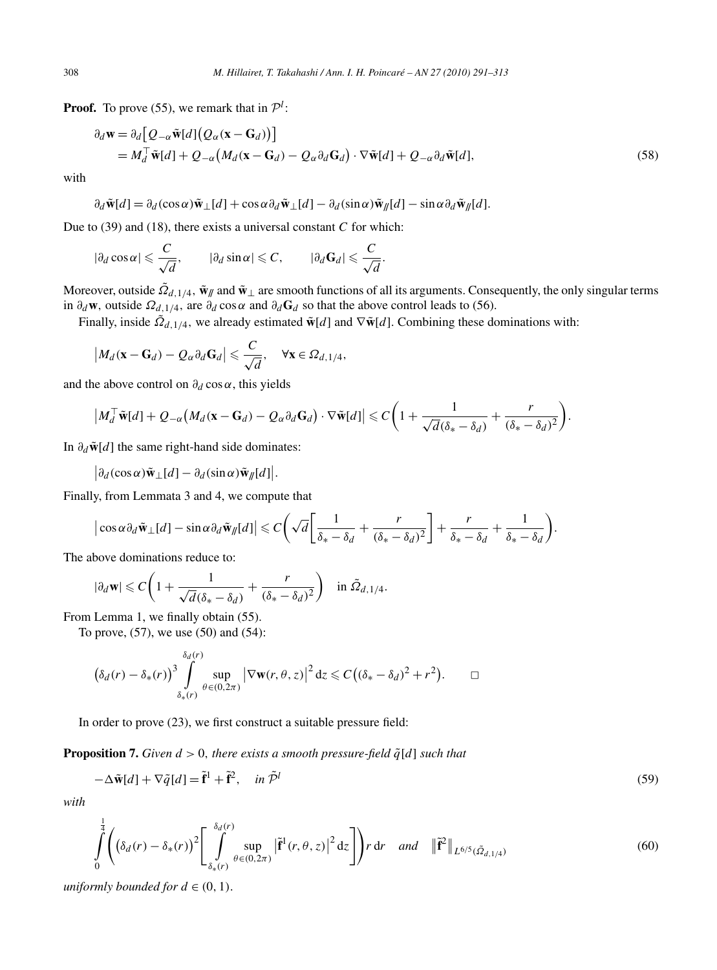**Proof.** To prove (55), we remark that in  $\mathcal{P}^l$ :

$$
\partial_d \mathbf{w} = \partial_d \big[ Q_{-\alpha} \tilde{\mathbf{w}}[d] \big( Q_{\alpha} (\mathbf{x} - \mathbf{G}_d) \big) \big] \n= M_d^\top \tilde{\mathbf{w}}[d] + Q_{-\alpha} \big( M_d (\mathbf{x} - \mathbf{G}_d) - Q_{\alpha} \partial_d \mathbf{G}_d \big) \cdot \nabla \tilde{\mathbf{w}}[d] + Q_{-\alpha} \partial_d \tilde{\mathbf{w}}[d],
$$
\n(58)

with

 $\partial_d \tilde{\mathbf{w}}[d] = \partial_d (\cos \alpha) \tilde{\mathbf{w}} \perp [d] + \cos \alpha \partial_d \tilde{\mathbf{w}} \perp [d] - \partial_d (\sin \alpha) \tilde{\mathbf{w}} \parallel [d] - \sin \alpha \partial_d \tilde{\mathbf{w}} \parallel [d]$ .

Due to (39) and (18), there exists a universal constant *C* for which:

$$
|\partial_d \cos \alpha| \leqslant \frac{C}{\sqrt{d}}, \qquad |\partial_d \sin \alpha| \leqslant C, \qquad |\partial_d \mathbf{G}_d| \leqslant \frac{C}{\sqrt{d}}.
$$

Moreover, outside  $\tilde{Q}_{d,1/4}$ ,  $\tilde{\mathbf{w}}_{\parallel}$  and  $\tilde{\mathbf{w}}_{\perp}$  are smooth functions of all its arguments. Consequently, the only singular terms in  $\partial_d \mathbf{w}$ , outside  $\Omega_{d,1/4}$ , are  $\partial_d \cos \alpha$  and  $\partial_d \mathbf{G}_d$  so that the above control leads to (56).

Finally, inside  $\tilde{\Omega}_{d,1/4}$ , we already estimated  $\tilde{\mathbf{w}}[d]$  and  $\nabla \tilde{\mathbf{w}}[d]$ . Combining these dominations with:

$$
\left|M_d(\mathbf{x}-\mathbf{G}_d)-Q_\alpha\partial_d\mathbf{G}_d\right|\leqslant \frac{C}{\sqrt{d}},\quad \forall \mathbf{x}\in\Omega_{d,1/4},
$$

and the above control on  $\partial_d \cos \alpha$ , this yields

$$
\left| M_d^{\top} \tilde{\mathbf{w}}[d] + Q_{-\alpha} \left( M_d (\mathbf{x} - \mathbf{G}_d) - Q_{\alpha} \partial_d \mathbf{G}_d \right) \cdot \nabla \tilde{\mathbf{w}}[d] \right| \leqslant C \bigg( 1 + \frac{1}{\sqrt{d} (\delta_* - \delta_d)} + \frac{r}{(\delta_* - \delta_d)^2} \bigg).
$$

In  $\partial_d \tilde{\mathbf{w}}[d]$  the same right-hand side dominates:

 $\left|\frac{\partial_d (\cos \alpha) \tilde{\mathbf{w}}_\perp[d]}{-} \frac{\partial_d (\sin \alpha) \tilde{\mathbf{w}}_N[d]}{}\right|$ .

Finally, from Lemmata 3 and 4, we compute that

$$
\left|\cos\alpha\partial_d\tilde{\mathbf{w}}_{\perp}[d] - \sin\alpha\partial_d\tilde{\mathbf{w}}_N[d]\right| \leqslant C\left(\sqrt{d}\left[\frac{1}{\delta_*-\delta_d} + \frac{r}{(\delta_*-\delta_d)^2}\right] + \frac{r}{\delta_*-\delta_d} + \frac{1}{\delta_*-\delta_d}\right).
$$

The above dominations reduce to:

$$
|\partial_d \mathbf{w}| \leqslant C \bigg( 1 + \frac{1}{\sqrt{d} (\delta_* - \delta_d)} + \frac{r}{(\delta_* - \delta_d)^2} \bigg) \quad \text{in } \tilde{\Omega}_{d, 1/4}.
$$

From Lemma 1, we finally obtain (55).

To prove, (57), we use (50) and (54):

$$
\left(\delta_d(r) - \delta_*(r)\right)^3 \int\limits_{\delta_*(r)}^{\delta_d(r)} \sup_{\theta \in (0,2\pi)} \left| \nabla \mathbf{w}(r,\theta,z) \right|^2 dz \leqslant C \big( (\delta_* - \delta_d)^2 + r^2 \big). \qquad \Box
$$

In order to prove (23), we first construct a suitable pressure field:

**Proposition 7.** *Given*  $d > 0$ *, there exists a smooth pressure-field*  $\tilde{q}[d]$  *such that* 

$$
-\Delta \tilde{\mathbf{w}}[d] + \nabla \tilde{q}[d] = \tilde{\mathbf{f}}^1 + \tilde{\mathbf{f}}^2, \quad \text{in } \tilde{\mathcal{P}}^l
$$
\n(59)

*with*

$$
\int_{0}^{\frac{1}{4}} \left( \left( \delta_d(r) - \delta_*(r) \right)^2 \left[ \int_{\delta_*(r)}^{\delta_d(r)} \sup_{\theta \in (0, 2\pi)} \left| \tilde{\mathbf{f}}^1(r, \theta, z) \right|^2 dz \right] \right) r \, dr \quad \text{and} \quad \left\| \tilde{\mathbf{f}}^2 \right\|_{L^{6/5}(\tilde{\Omega}_{d, 1/4})}
$$
\n
$$
(60)
$$

*uniformly bounded for*  $d \in (0, 1)$ .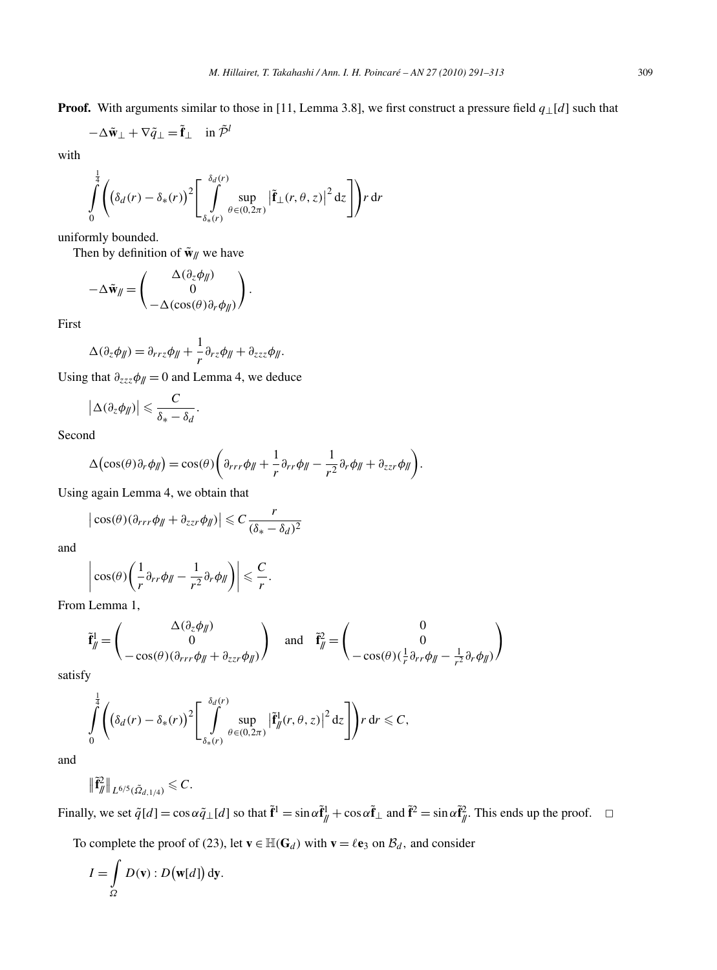**Proof.** With arguments similar to those in [11, Lemma 3.8], we first construct a pressure field *q*⊥[*d*] such that

$$
-\Delta \tilde{\mathbf{w}}_{\perp} + \nabla \tilde{q}_{\perp} = \tilde{\mathbf{f}}_{\perp} \quad \text{in } \tilde{\mathcal{P}}^l
$$

with

$$
\int_{0}^{\frac{1}{4}} \left( \left( \delta_d(r) - \delta_*(r) \right)^2 \left[ \int_{\delta_*(r)}^{\delta_d(r)} \sup_{\theta \in (0,2\pi)} \left| \tilde{\mathbf{f}}_{\perp}(r,\theta,z) \right|^2 dz \right] \right) r dr
$$

uniformly bounded.

Then by definition of  $\tilde{\mathbf{w}}_{\parallel}$  we have

$$
-\Delta \tilde{\mathbf{w}}_{jj} = \begin{pmatrix} \Delta(\partial_z \phi_{jj}) \\ 0 \\ -\Delta(\cos(\theta)\partial_r \phi_{jj}) \end{pmatrix}.
$$

First

$$
\Delta(\partial_z \phi_{\parallel}) = \partial_{rrz} \phi_{\parallel} + \frac{1}{r} \partial_{rz} \phi_{\parallel} + \partial_{zzz} \phi_{\parallel}.
$$

Using that  $\partial_{zzz} \phi_{\parallel} = 0$  and Lemma 4, we deduce

$$
\left|\Delta(\partial_z\phi_{\parallel})\right|\leqslant \frac{C}{\delta_*-\delta_d}.
$$

Second

$$
\Delta\big(\cos(\theta)\partial_r\phi_{jj}\big)=\cos(\theta)\bigg(\partial_{rrr}\phi_{jj}+\frac{1}{r}\partial_{rr}\phi_{jj}-\frac{1}{r^2}\partial_r\phi_{jj}+\partial_{zzr}\phi_{jj}\bigg).
$$

Using again Lemma 4, we obtain that

$$
\left|\cos(\theta)(\partial_{rrr}\phi_{jj}+\partial_{zzr}\phi_{jj})\right|\leq C\frac{r}{(\delta_*-\delta_d)^2}
$$

and

$$
\left|\cos(\theta)\left(\frac{1}{r}\partial_{rr}\phi_{\parallel}-\frac{1}{r^2}\partial_r\phi_{\parallel}\right)\right|\leqslant \frac{C}{r}.
$$

From Lemma 1,

$$
\tilde{\mathbf{f}}_{\parallel}^{1} = \begin{pmatrix} \Delta(\partial_{z}\phi_{\parallel}) \\ 0 \\ -\cos(\theta)(\partial_{rrr}\phi_{\parallel} + \partial_{zzr}\phi_{\parallel}) \end{pmatrix} \text{ and } \tilde{\mathbf{f}}_{\parallel}^{2} = \begin{pmatrix} 0 \\ 0 \\ -\cos(\theta)(\frac{1}{r}\partial_{rr}\phi_{\parallel} - \frac{1}{r^{2}}\partial_{r}\phi_{\parallel}) \end{pmatrix}
$$

satisfy

$$
\int\limits_{0}^{\frac{1}{4}} \Biggl(\left(\delta_d(r) - \delta_*(r)\right)^2 \left[ \int\limits_{\delta_*(r)}^{\delta_d(r)} \sup\limits_{\theta \in (0,2\pi)} \left|\tilde{\mathbf{f}}_M^1(r,\theta,z)\right|^2 \mathrm{d}z\right]\Biggr) r \, \mathrm{d}r \leqslant C,
$$

and

$$
\|\tilde{\mathbf{f}}_{\mathcal{J}}^2\|_{L^{6/5}(\tilde{\Omega}_{d,1/4})} \leqslant C.
$$

Finally, we set  $\tilde{q}[d] = \cos \alpha \tilde{q} \perp [d]$  so that  $\tilde{f}^1 = \sin \alpha \tilde{f}^1 / \sqrt{4} + \cos \alpha \tilde{f} \perp \alpha$  and  $\tilde{f}^2 = \sin \alpha \tilde{f}^2 / \sqrt{4}$ . This ends up the proof.  $\Box$ 

To complete the proof of (23), let  $\mathbf{v} \in \mathbb{H}(\mathbf{G}_d)$  with  $\mathbf{v} = \ell \mathbf{e}_3$  on  $\mathcal{B}_d$ , and consider

$$
I = \int_{\Omega} D(\mathbf{v}) : D(\mathbf{w}[d]) \, \mathrm{d}\mathbf{y}.
$$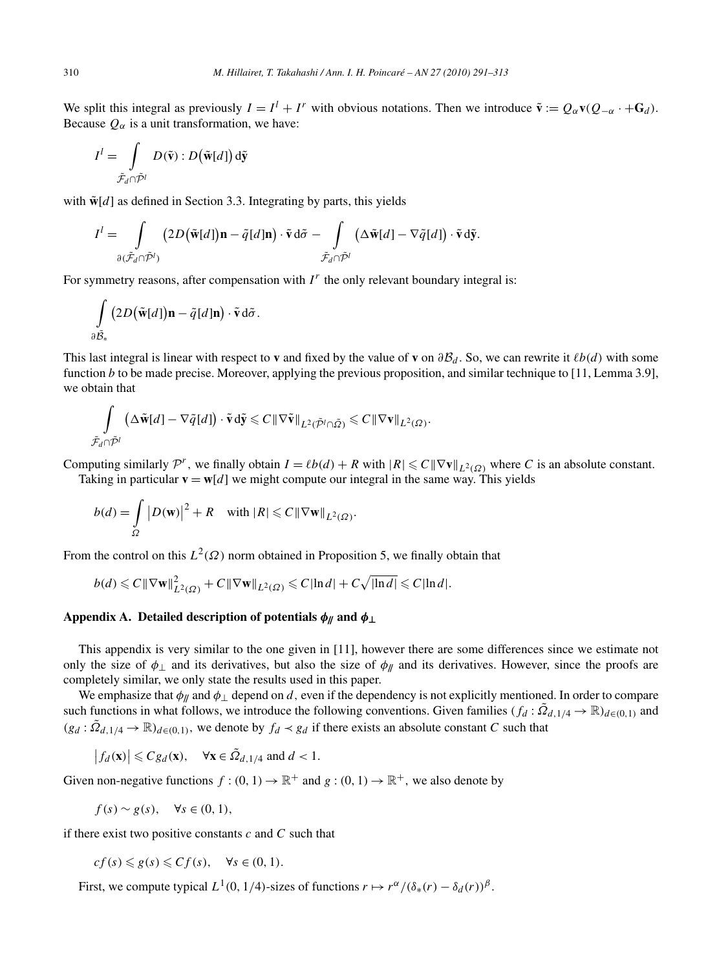We split this integral as previously  $I = I^l + I^r$  with obvious notations. Then we introduce  $\tilde{\mathbf{v}} := Q_\alpha \mathbf{v}(Q_{-\alpha} \cdot + \mathbf{G}_d)$ . Because  $Q_{\alpha}$  is a unit transformation, we have:

$$
I^{l} = \int\limits_{\tilde{\mathcal{F}}_{d} \cap \tilde{\mathcal{P}}^{l}} D(\tilde{\mathbf{v}}) : D(\tilde{\mathbf{w}}[d]) d\tilde{\mathbf{y}}
$$

with  $\tilde{\mathbf{w}}[d]$  as defined in Section 3.3. Integrating by parts, this yields

$$
I^{l} = \int_{\partial (\tilde{\mathcal{F}}_{d} \cap \tilde{\mathcal{P}}^{l})} (2D(\tilde{\mathbf{w}}[d])\mathbf{n} - \tilde{q}[d]\mathbf{n}) \cdot \tilde{\mathbf{v}} d\tilde{\sigma} - \int_{\tilde{\mathcal{F}}_{d} \cap \tilde{\mathcal{P}}^{l}} (\Delta \tilde{\mathbf{w}}[d] - \nabla \tilde{q}[d]) \cdot \tilde{\mathbf{v}} d\tilde{\mathbf{y}}.
$$

For symmetry reasons, after compensation with  $I<sup>r</sup>$  the only relevant boundary integral is:

$$
\int\limits_{\partial \tilde{\mathcal{B}}_*} \big(2D\big(\tilde{\mathbf{w}}[d]\big)\mathbf{n} - \tilde{q}[d]\mathbf{n}\big) \cdot \tilde{\mathbf{v}} \, \mathrm{d}\tilde{\sigma}.
$$

This last integral is linear with respect to **v** and fixed by the value of **v** on  $\partial B_d$ . So, we can rewrite it  $\ell b(d)$  with some function *b* to be made precise. Moreover, applying the previous proposition, and similar technique to [11, Lemma 3.9], we obtain that

$$
\int\limits_{\tilde{\mathcal{F}}_d\cap\tilde{\mathcal{P}}^l}\left(\Delta\tilde{\mathbf{w}}[d]-\nabla\tilde{q}[d]\right)\cdot\tilde{\mathbf{v}}\,\mathrm{d}\tilde{\mathbf{y}}\leqslant C\,\|\nabla\tilde{\mathbf{v}}\|_{L^2(\tilde{\mathcal{P}}^l\cap\tilde{\mathfrak{Q}})}\leqslant C\,\|\nabla\mathbf{v}\|_{L^2(\Omega)}.
$$

Computing similarly  $\mathcal{P}^r$ , we finally obtain  $I = \ell b(d) + R$  with  $|R| \leq C ||\nabla v||_{L^2(\Omega)}$  where *C* is an absolute constant. Taking in particular  $\mathbf{v} = \mathbf{w}[d]$  we might compute our integral in the same way. This yields

$$
b(d) = \int_{\Omega} |D(\mathbf{w})|^2 + R \quad \text{with } |R| \leqslant C \|\nabla \mathbf{w}\|_{L^2(\Omega)}.
$$

From the control on this  $L^2(\Omega)$  norm obtained in Proposition 5, we finally obtain that

$$
b(d) \leqslant C\|\nabla \mathbf{w}\|_{L^2(\Omega)}^2 + C\|\nabla \mathbf{w}\|_{L^2(\Omega)} \leqslant C|\ln d| + C\sqrt{|\ln d|} \leqslant C|\ln d|.
$$

# **Appendix A. Detailed description of potentials**  $\phi_{\parallel}$  **and**  $\phi_{\perp}$

This appendix is very similar to the one given in [11], however there are some differences since we estimate not only the size of  $\phi_{\perp}$  and its derivatives, but also the size of  $\phi_{\parallel}$  and its derivatives. However, since the proofs are completely similar, we only state the results used in this paper.

We emphasize that  $\phi$ // and  $\phi$ <sub>⊥</sub> depend on *d*, even if the dependency is not explicitly mentioned. In order to compare such functions in what follows, we introduce the following conventions. Given families  $(f_d : \tilde{Q}_{d,1/4} \to \mathbb{R})_{d \in (0,1)}$  and  $(g_d : \tilde{Q}_{d,1/4} \to \mathbb{R})_{d \in (0,1)}$ , we denote by  $f_d \prec g_d$  if there exists an absolute constant *C* such that

$$
|f_d(\mathbf{x})| \leq C g_d(\mathbf{x}), \quad \forall \mathbf{x} \in \tilde{\Omega}_{d,1/4} \text{ and } d < 1.
$$

Given non-negative functions  $f : (0, 1) \to \mathbb{R}^+$  and  $g : (0, 1) \to \mathbb{R}^+$ , we also denote by

$$
f(s) \sim g(s), \quad \forall s \in (0, 1),
$$

if there exist two positive constants *c* and *C* such that

$$
cf(s) \leq g(s) \leq Cf(s), \quad \forall s \in (0,1).
$$

First, we compute typical  $L^1(0, 1/4)$ -sizes of functions  $r \mapsto r^{\alpha}/(\delta_*(r) - \delta_d(r))^{\beta}$ .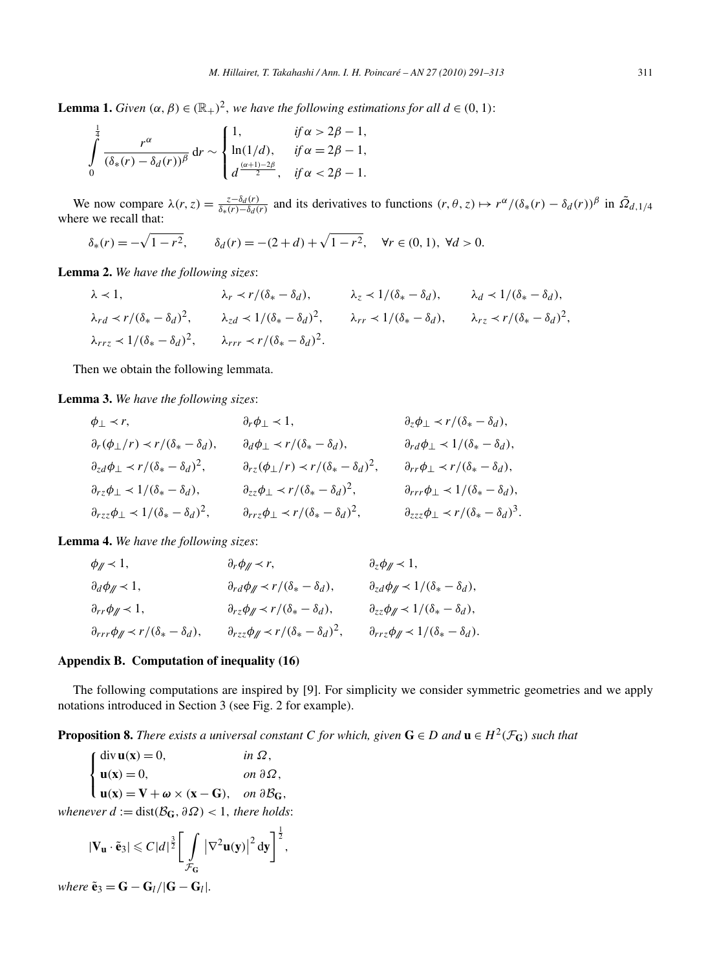**Lemma 1.** *Given*  $(\alpha, \beta) \in (\mathbb{R}_+)^2$ *, we have the following estimations for all*  $d \in (0, 1)$ :

$$
\int_{0}^{\frac{1}{4}} \frac{r^{\alpha}}{(\delta_*(r) - \delta_d(r))^{\beta}} dr \sim \begin{cases} 1, & \text{if } \alpha > 2\beta - 1, \\ \ln(1/d), & \text{if } \alpha = 2\beta - 1, \\ d^{\frac{(\alpha+1)-2\beta}{2}}, & \text{if } \alpha < 2\beta - 1. \end{cases}
$$

We now compare  $\lambda(r, z) = \frac{z - \delta_d(r)}{\delta_x(r) - \delta_d(r)}$  and its derivatives to functions  $(r, \theta, z) \mapsto r^{\alpha}/(\delta_x(r) - \delta_d(r))^{\beta}$  in  $\tilde{\Omega}_{d, 1/4}$ where we recall that:

$$
\delta_*(r) = -\sqrt{1 - r^2}, \qquad \delta_d(r) = -(2 + d) + \sqrt{1 - r^2}, \quad \forall r \in (0, 1), \ \forall d > 0.
$$

**Lemma 2.** *We have the following sizes*:

$$
\lambda \prec 1, \qquad \lambda_r \prec r/(\delta_* - \delta_d), \qquad \lambda_z \prec 1/(\delta_* - \delta_d), \qquad \lambda_d \prec 1/(\delta_* - \delta_d),
$$
  
\n
$$
\lambda_{rd} \prec r/(\delta_* - \delta_d)^2, \qquad \lambda_{zd} \prec 1/(\delta_* - \delta_d)^2, \qquad \lambda_{rr} \prec 1/(\delta_* - \delta_d), \qquad \lambda_{rz} \prec r/(\delta_* - \delta_d)^2,
$$
  
\n
$$
\lambda_{rrz} \prec 1/(\delta_* - \delta_d)^2, \qquad \lambda_{rrr} \prec r/(\delta_* - \delta_d)^2.
$$

Then we obtain the following lemmata.

**Lemma 3.** *We have the following sizes*:

$$
\phi_{\perp} \prec r, \qquad \partial_r \phi_{\perp} \prec 1, \qquad \partial_z \phi_{\perp} \prec r/(\delta_* - \delta_d),
$$
\n
$$
\partial_r(\phi_{\perp}/r) \prec r/(\delta_* - \delta_d), \qquad \partial_d \phi_{\perp} \prec r/(\delta_* - \delta_d), \qquad \partial_r d\phi_{\perp} \prec 1/(\delta_* - \delta_d),
$$
\n
$$
\partial_{zd}\phi_{\perp} \prec r/(\delta_* - \delta_d)^2, \qquad \partial_{rz}(\phi_{\perp}/r) \prec r/(\delta_* - \delta_d)^2, \qquad \partial_r r \phi_{\perp} \prec r/(\delta_* - \delta_d),
$$
\n
$$
\partial_{rz}\phi_{\perp} \prec 1/(\delta_* - \delta_d), \qquad \partial_{zz}\phi_{\perp} \prec r/(\delta_* - \delta_d)^2, \qquad \partial_{rrr}\phi_{\perp} \prec 1/(\delta_* - \delta_d),
$$
\n
$$
\partial_{rzz}\phi_{\perp} \prec 1/(\delta_* - \delta_d)^2, \qquad \partial_{rrz}\phi_{\perp} \prec r/(\delta_* - \delta_d)^2, \qquad \partial_{zzz}\phi_{\perp} \prec r/(\delta_* - \delta_d)^3.
$$

**Lemma 4.** *We have the following sizes*:

| $\phi_{\mathscr{M}}$ $\prec$ 1,                                      | $\partial_r \phi_{\parallel} \prec r$ ,                               | $\partial_z \phi_{\mathscr{M}} \prec 1$ ,                           |
|----------------------------------------------------------------------|-----------------------------------------------------------------------|---------------------------------------------------------------------|
| $\partial_d \phi_{\parallel} \prec 1$ ,                              | $\partial_{rd}\phi_{//} \prec r/(\delta_{*}-\delta_{d}),$             | $\partial_{zd} \phi_{\ell} \langle 1/(\delta_{*} - \delta_{d}),$    |
| $\partial_{rr}\phi_{\//} \prec 1,$                                   | $\partial_{rz}\phi_{\ell} \prec r/(\delta_{*}-\delta_{d}),$           | $\partial_{zz} \phi_{\ell} \langle 1/(\delta_{*} - \delta_{d}),$    |
| $\partial_{rrr} \phi_{\parallel} \prec r/(\delta_{*} - \delta_{d}),$ | $\partial_{rzz}\phi_{\imath}/r \prec r/(\delta_{*}-\delta_{d})^{2}$ , | $\partial_{rrz}\phi_{\imath}/\langle \delta_* - \delta_d \rangle$ . |

## **Appendix B. Computation of inequality (16)**

The following computations are inspired by [9]. For simplicity we consider symmetric geometries and we apply notations introduced in Section 3 (see Fig. 2 for example).

**Proposition 8.** *There exists a universal constant C for which, given*  $G \in D$  *and*  $u \in H^2(\mathcal{F}_G)$  *such that* 

$$
\begin{cases}\n\text{div }\mathbf{u}(\mathbf{x}) = 0, & \text{in }\Omega, \\
\mathbf{u}(\mathbf{x}) = 0, & \text{on }\partial\Omega, \\
\mathbf{u}(\mathbf{x}) = \mathbf{V} + \boldsymbol{\omega} \times (\mathbf{x} - \mathbf{G}), & \text{on }\partial\mathcal{B}_{\mathbf{G}},\n\end{cases}
$$

*whenever*  $d := dist(\mathcal{B}_G, \partial \Omega) < 1$ *, there holds:* 

$$
|\mathbf{V}_{\mathbf{u}}\cdot\tilde{\mathbf{e}}_3|\leqslant C|d|^{\frac{3}{2}}\bigg[\int\limits_{\mathcal{F}_{\mathbf{G}}}\left|\nabla^2\mathbf{u}(\mathbf{y})\right|^2\mathrm{d}\mathbf{y}\bigg]^{\frac{1}{2}},
$$

*where*  $\tilde{\mathbf{e}}_3 = \mathbf{G} - \mathbf{G}_l/|\mathbf{G} - \mathbf{G}_l|$ .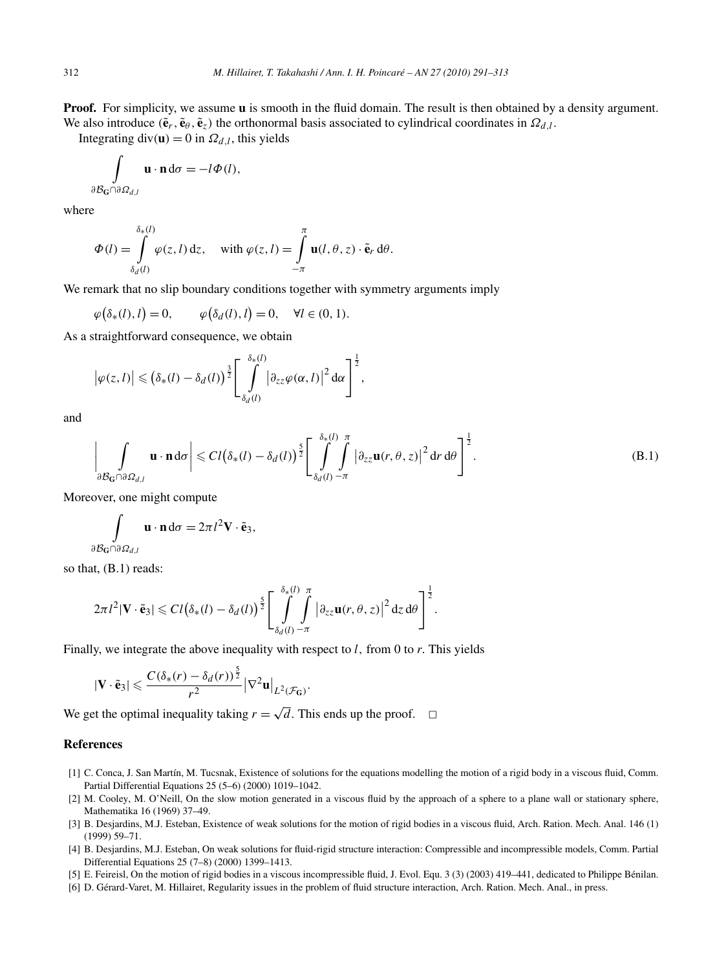**Proof.** For simplicity, we assume **u** is smooth in the fluid domain. The result is then obtained by a density argument. We also introduce  $(\tilde{\mathbf{e}}_r, \tilde{\mathbf{e}}_\theta, \tilde{\mathbf{e}}_z)$  the orthonormal basis associated to cylindrical coordinates in  $\Omega_{d,l}$ .

Integrating div( $\mathbf{u}$ ) = 0 in  $\Omega_{d,l}$ , this yields

$$
\int_{\partial \mathcal{B}_{\mathbf{G}} \cap \partial \Omega_{d,l}} \mathbf{u} \cdot \mathbf{n} \, d\sigma = -l \Phi(l),
$$

where

$$
\Phi(l) = \int_{\delta_d(l)}^{\delta_*(l)} \varphi(z, l) dz, \quad \text{with } \varphi(z, l) = \int_{-\pi}^{\pi} \mathbf{u}(l, \theta, z) \cdot \tilde{\mathbf{e}}_r d\theta.
$$

We remark that no slip boundary conditions together with symmetry arguments imply

$$
\varphi\big(\delta_*(l), l\big) = 0, \qquad \varphi\big(\delta_d(l), l\big) = 0, \quad \forall l \in (0, 1).
$$

As a straightforward consequence, we obtain

$$
\left|\varphi(z,l)\right| \leqslant \left(\delta_*(l)-\delta_d(l)\right)^{\frac{3}{2}} \left[\int\limits_{\delta_d(l)}^{\delta_*(l)} \left|\partial_{zz}\varphi(\alpha,l)\right|^2 d\alpha\right]^{\frac{1}{2}},
$$

and

$$
\left|\int\limits_{\partial\mathcal{B}_{\mathbf{G}}\cap\partial\Omega_{d,l}}\mathbf{u}\cdot\mathbf{n}\,\mathrm{d}\sigma\right|\leqslant C l\big(\delta_*(l)-\delta_d(l)\big)^{\frac{5}{2}}\Bigg[\int\limits_{\delta_d(l)-\pi}^{\delta_*(l)}\int\limits_{-\pi}^{\pi}\big|\partial_{zz}\mathbf{u}(r,\theta,z)\big|^2\,\mathrm{d}r\,\mathrm{d}\theta\Bigg]^{\frac{1}{2}}.
$$
 (B.1)

Moreover, one might compute

$$
\int_{\partial \mathcal{B}_{\mathbf{G}} \cap \partial \Omega_{d,l}} \mathbf{u} \cdot \mathbf{n} \, d\sigma = 2\pi l^2 \mathbf{V} \cdot \tilde{\mathbf{e}}_3,
$$

so that, (B.1) reads:

$$
2\pi l^2 |\mathbf{V} \cdot \tilde{\mathbf{e}}_3| \leqslant C l \big( \delta_*(l) - \delta_d(l) \big)^{\frac{5}{2}} \Bigg[ \int\limits_{\delta_d(l)}^{\delta_*(l)} \int\limits_{-\pi}^{\pi} \big| \partial_{zz} \mathbf{u}(r,\theta,z) \big|^2 \, \mathrm{d}z \, \mathrm{d}\theta \Bigg]^{\frac{1}{2}}.
$$

Finally, we integrate the above inequality with respect to *l,* from 0 to *r.* This yields

$$
|\mathbf{V}\cdot\tilde{\mathbf{e}}_3|\leqslant \frac{C(\delta_*(r)-\delta_d(r))^{\frac{5}{2}}}{r^2}\big|\nabla^2\mathbf{u}\big|_{L^2(\mathcal{F}_G)}.
$$

We get the optimal inequality taking  $r = \sqrt{d}$ . This ends up the proof.  $\Box$ 

# **References**

- [1] C. Conca, J. San Martín, M. Tucsnak, Existence of solutions for the equations modelling the motion of a rigid body in a viscous fluid, Comm. Partial Differential Equations 25 (5–6) (2000) 1019–1042.
- [2] M. Cooley, M. O'Neill, On the slow motion generated in a viscous fluid by the approach of a sphere to a plane wall or stationary sphere, Mathematika 16 (1969) 37–49.
- [3] B. Desjardins, M.J. Esteban, Existence of weak solutions for the motion of rigid bodies in a viscous fluid, Arch. Ration. Mech. Anal. 146 (1) (1999) 59–71.
- [4] B. Desjardins, M.J. Esteban, On weak solutions for fluid-rigid structure interaction: Compressible and incompressible models, Comm. Partial Differential Equations 25 (7–8) (2000) 1399–1413.
- [5] E. Feireisl, On the motion of rigid bodies in a viscous incompressible fluid, J. Evol. Equ. 3 (3) (2003) 419–441, dedicated to Philippe Bénilan.
- [6] D. Gérard-Varet, M. Hillairet, Regularity issues in the problem of fluid structure interaction, Arch. Ration. Mech. Anal., in press.